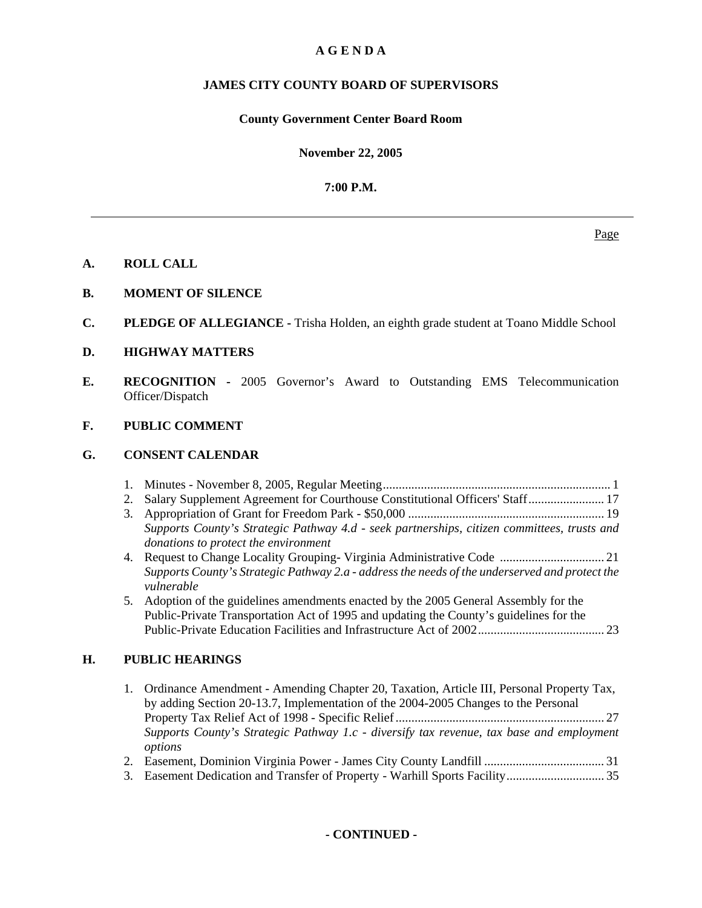# **A G E N D A**

# **JAMES CITY COUNTY BOARD OF SUPERVISORS**

# **County Government Center Board Room**

**November 22, 2005**

**7:00 P.M.**

## **A. ROLL CALL**

- **B. MOMENT OF SILENCE**
- **C. PLEDGE OF ALLEGIANCE** Trisha Holden, an eighth grade student at Toano Middle School
- **D. HIGHWAY MATTERS**
- **E. RECOGNITION** 2005 Governor's Award to Outstanding EMS Telecommunication Officer/Dispatch

# **F. PUBLIC COMMENT**

## **G. CONSENT CALENDAR**

|--|--|--|

- 2. Salary Supplement Agreement for Courthouse Constitutional Officers' Staff ........................ 17
- 3. Appropriation of Grant for Freedom Park \$50,000 .............................................................. 19 *Supports County's Strategic Pathway 4.d - seek partnerships, citizen committees, trusts and donations to protect the environment*
- 4. Request to Change Locality Grouping- Virginia Administrative Code ................................. 21 *Supports County's Strategic Pathway 2.a - address the needs of the underserved and protect the vulnerable*
- 5. Adoption of the guidelines amendments enacted by the 2005 General Assembly for the Public-Private Transportation Act of 1995 and updating the County's guidelines for the Public-Private Education Facilities and Infrastructure Act of 2002 ........................................ 23

## **H. PUBLIC HEARINGS**

- 1. Ordinance Amendment Amending Chapter 20, Taxation, Article III, Personal Property Tax, by adding Section 20-13.7, Implementation of the 2004-2005 Changes to the Personal Property Tax Relief Act of 1998 - Specific Relief .................................................................. 27 *Supports County's Strategic Pathway 1.c - diversify tax revenue, tax base and employment options*
- 2. Easement, Dominion Virginia Power James City County Landfill ...................................... 31
- 3. Easement Dedication and Transfer of Property Warhill Sports Facility ............................... 35

## **- CONTINUED -**

Page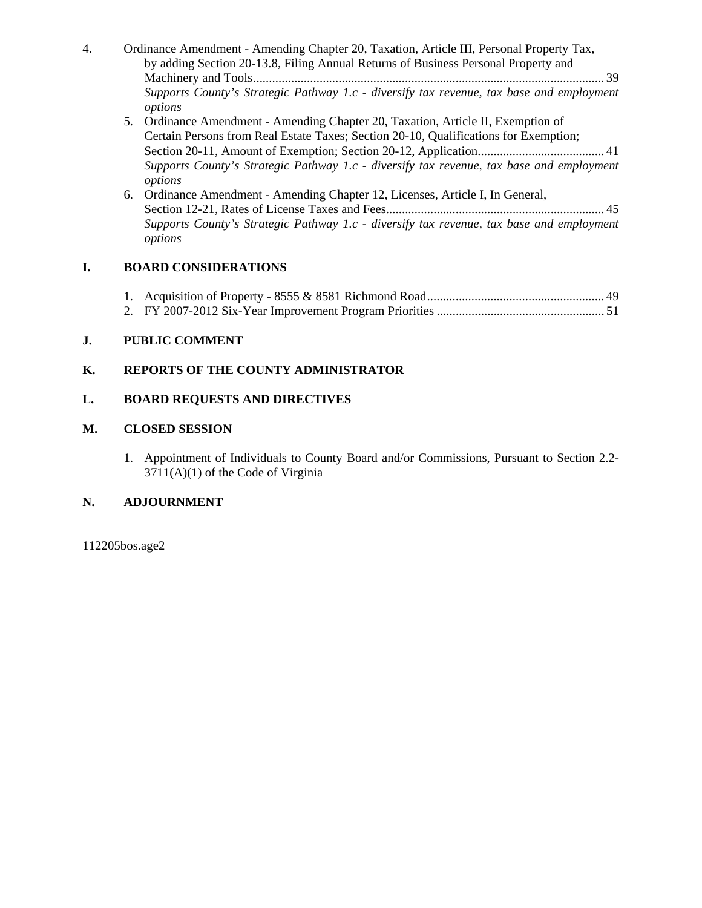| 4. | Ordinance Amendment - Amending Chapter 20, Taxation, Article III, Personal Property Tax, |
|----|------------------------------------------------------------------------------------------|
|    | by adding Section 20-13.8, Filing Annual Returns of Business Personal Property and       |
|    |                                                                                          |
|    | Supports County's Strategic Pathway 1.c - diversify tax revenue, tax base and employment |
|    | options                                                                                  |
|    | 5. Ordinance Amendment - Amending Chapter 20, Taxation, Article II, Exemption of         |

- Certain Persons from Real Estate Taxes; Section 20-10, Qualifications for Exemption; Section 20-11, Amount of Exemption; Section 20-12, Application........................................ 41 *Supports County's Strategic Pathway 1.c - diversify tax revenue, tax base and employment options*
- 6. Ordinance Amendment Amending Chapter 12, Licenses, Article I, In General, Section 12-21, Rates of License Taxes and Fees..................................................................... 45 *Supports County's Strategic Pathway 1.c - diversify tax revenue, tax base and employment options*

# **I. BOARD CONSIDERATIONS**

# **J. PUBLIC COMMENT**

# **K. REPORTS OF THE COUNTY ADMINISTRATOR**

# **L. BOARD REQUESTS AND DIRECTIVES**

# **M. CLOSED SESSION**

1. Appointment of Individuals to County Board and/or Commissions, Pursuant to Section 2.2- 3711(A)(1) of the Code of Virginia

# **N. ADJOURNMENT**

112205bos.age2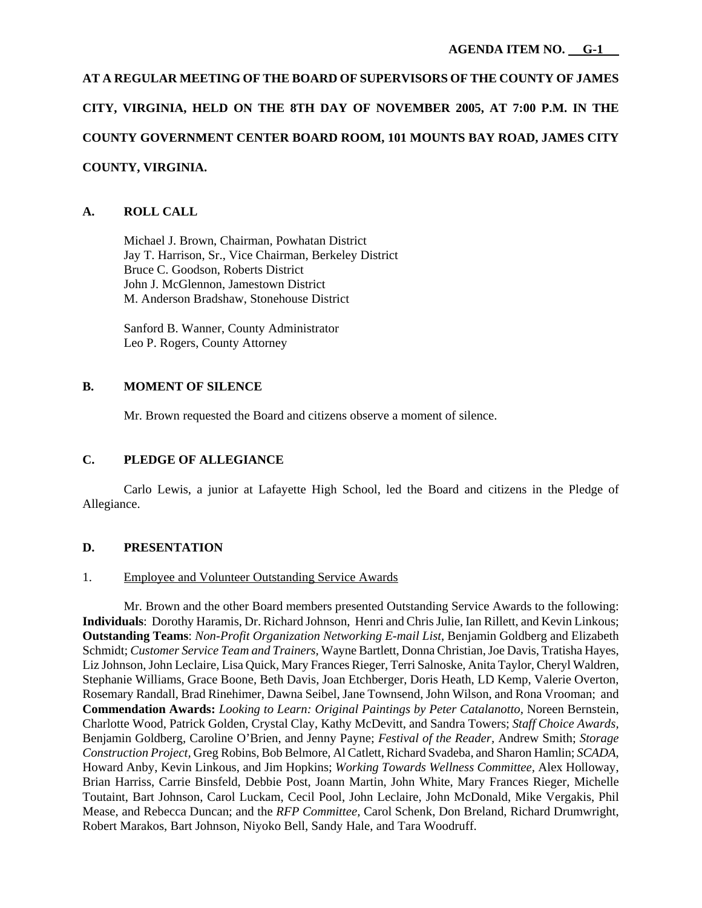# **AT A REGULAR MEETING OF THE BOARD OF SUPERVISORS OF THE COUNTY OF JAMES CITY, VIRGINIA, HELD ON THE 8TH DAY OF NOVEMBER 2005, AT 7:00 P.M. IN THE COUNTY GOVERNMENT CENTER BOARD ROOM, 101 MOUNTS BAY ROAD, JAMES CITY COUNTY, VIRGINIA.**

# **A. ROLL CALL**

 Michael J. Brown, Chairman, Powhatan District Jay T. Harrison, Sr., Vice Chairman, Berkeley District Bruce C. Goodson, Roberts District John J. McGlennon, Jamestown District M. Anderson Bradshaw, Stonehouse District

 Sanford B. Wanner, County Administrator Leo P. Rogers, County Attorney

## **B. MOMENT OF SILENCE**

Mr. Brown requested the Board and citizens observe a moment of silence.

# **C. PLEDGE OF ALLEGIANCE**

Carlo Lewis, a junior at Lafayette High School, led the Board and citizens in the Pledge of Allegiance.

## **D. PRESENTATION**

## 1. Employee and Volunteer Outstanding Service Awards

Mr. Brown and the other Board members presented Outstanding Service Awards to the following: **Individuals**: Dorothy Haramis, Dr. Richard Johnson, Henri and Chris Julie, Ian Rillett, and Kevin Linkous; **Outstanding Teams**: *Non-Profit Organization Networking E-mail List*, Benjamin Goldberg and Elizabeth Schmidt; *Customer Service Team and Trainers,* Wayne Bartlett, Donna Christian, Joe Davis, Tratisha Hayes, Liz Johnson, John Leclaire, Lisa Quick, Mary Frances Rieger, Terri Salnoske, Anita Taylor, Cheryl Waldren, Stephanie Williams, Grace Boone, Beth Davis, Joan Etchberger, Doris Heath, LD Kemp, Valerie Overton, Rosemary Randall, Brad Rinehimer, Dawna Seibel, Jane Townsend, John Wilson, and Rona Vrooman; and **Commendation Awards:** *Looking to Learn: Original Paintings by Peter Catalanotto,* Noreen Bernstein, Charlotte Wood, Patrick Golden, Crystal Clay, Kathy McDevitt, and Sandra Towers; *Staff Choice Awards,*  Benjamin Goldberg, Caroline O'Brien, and Jenny Payne; *Festival of the Reader,* Andrew Smith; *Storage Construction Project,* Greg Robins, Bob Belmore, Al Catlett, Richard Svadeba, and Sharon Hamlin; *SCADA*, Howard Anby, Kevin Linkous, and Jim Hopkins; *Working Towards Wellness Committee,* Alex Holloway, Brian Harriss, Carrie Binsfeld, Debbie Post, Joann Martin, John White, Mary Frances Rieger, Michelle Toutaint, Bart Johnson, Carol Luckam, Cecil Pool, John Leclaire, John McDonald, Mike Vergakis, Phil Mease, and Rebecca Duncan; and the *RFP Committee,* Carol Schenk, Don Breland, Richard Drumwright, Robert Marakos, Bart Johnson, Niyoko Bell, Sandy Hale, and Tara Woodruff.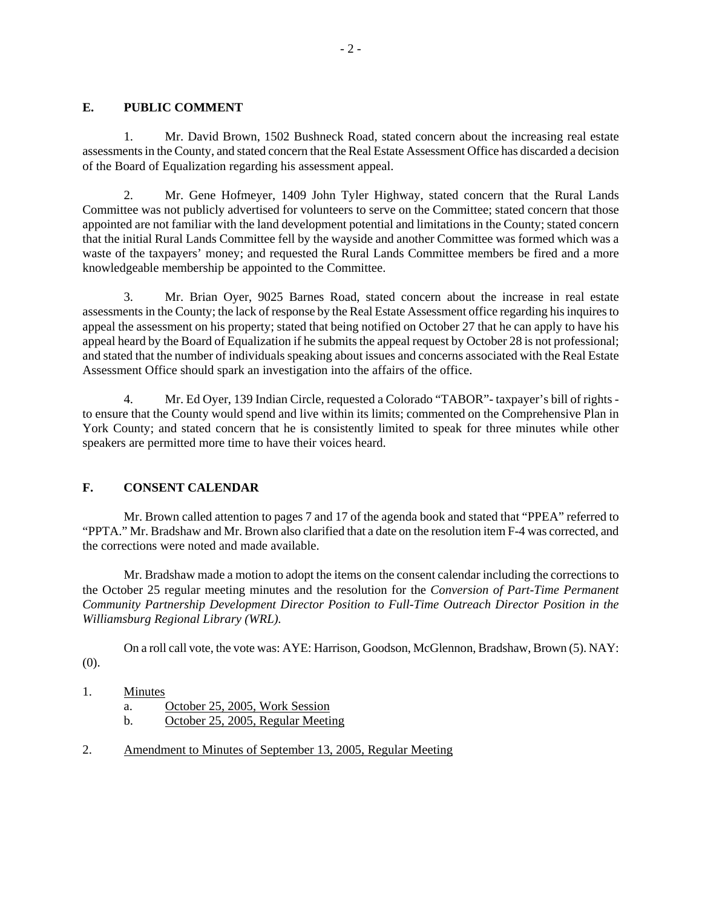# **E. PUBLIC COMMENT**

1. Mr. David Brown, 1502 Bushneck Road, stated concern about the increasing real estate assessments in the County, and stated concern that the Real Estate Assessment Office has discarded a decision of the Board of Equalization regarding his assessment appeal.

2. Mr. Gene Hofmeyer, 1409 John Tyler Highway, stated concern that the Rural Lands Committee was not publicly advertised for volunteers to serve on the Committee; stated concern that those appointed are not familiar with the land development potential and limitations in the County; stated concern that the initial Rural Lands Committee fell by the wayside and another Committee was formed which was a waste of the taxpayers' money; and requested the Rural Lands Committee members be fired and a more knowledgeable membership be appointed to the Committee.

3. Mr. Brian Oyer, 9025 Barnes Road, stated concern about the increase in real estate assessments in the County; the lack of response by the Real Estate Assessment office regarding his inquires to appeal the assessment on his property; stated that being notified on October 27 that he can apply to have his appeal heard by the Board of Equalization if he submits the appeal request by October 28 is not professional; and stated that the number of individuals speaking about issues and concerns associated with the Real Estate Assessment Office should spark an investigation into the affairs of the office.

4. Mr. Ed Oyer, 139 Indian Circle, requested a Colorado "TABOR"- taxpayer's bill of rights to ensure that the County would spend and live within its limits; commented on the Comprehensive Plan in York County; and stated concern that he is consistently limited to speak for three minutes while other speakers are permitted more time to have their voices heard.

# **F. CONSENT CALENDAR**

Mr. Brown called attention to pages 7 and 17 of the agenda book and stated that "PPEA" referred to "PPTA." Mr. Bradshaw and Mr. Brown also clarified that a date on the resolution item F-4 was corrected, and the corrections were noted and made available.

Mr. Bradshaw made a motion to adopt the items on the consent calendar including the corrections to the October 25 regular meeting minutes and the resolution for the *Conversion of Part-Time Permanent Community Partnership Development Director Position to Full-Time Outreach Director Position in the Williamsburg Regional Library (WRL).*

On a roll call vote, the vote was: AYE: Harrison, Goodson, McGlennon, Bradshaw, Brown (5). NAY: (0).

- 1. Minutes
	- a. October 25, 2005, Work Session
	- b. October 25, 2005, Regular Meeting
- 2. Amendment to Minutes of September 13, 2005, Regular Meeting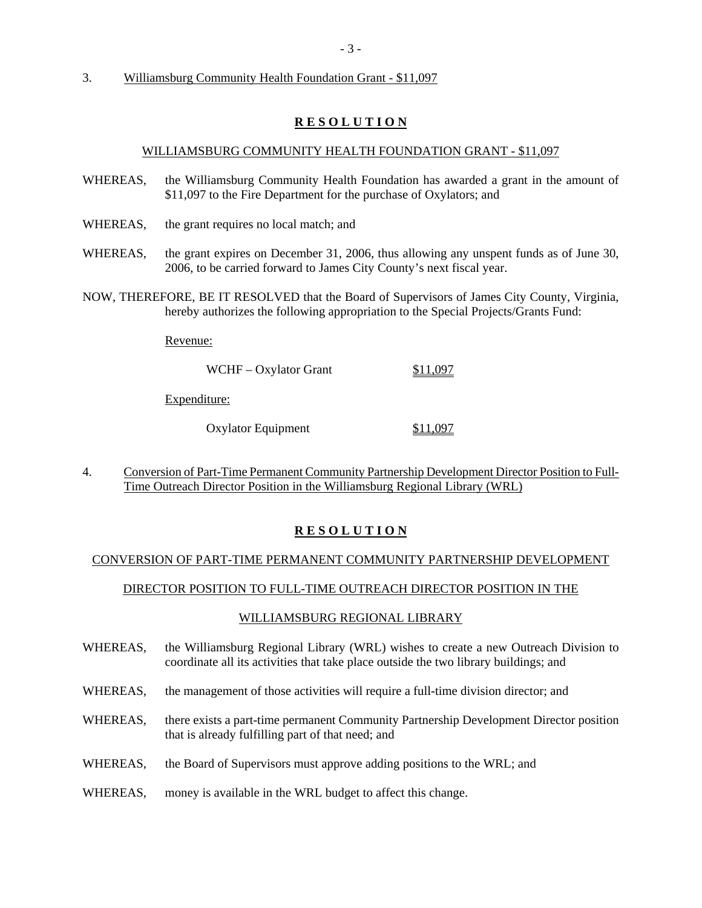3. Williamsburg Community Health Foundation Grant - \$11,097

## **R E S O L U T I O N**

#### WILLIAMSBURG COMMUNITY HEALTH FOUNDATION GRANT - \$11,097

- WHEREAS, the Williamsburg Community Health Foundation has awarded a grant in the amount of \$11,097 to the Fire Department for the purchase of Oxylators; and
- WHEREAS, the grant requires no local match; and
- WHEREAS, the grant expires on December 31, 2006, thus allowing any unspent funds as of June 30, 2006, to be carried forward to James City County's next fiscal year.
- NOW, THEREFORE, BE IT RESOLVED that the Board of Supervisors of James City County, Virginia, hereby authorizes the following appropriation to the Special Projects/Grants Fund:

Revenue:

WCHF – Oxylator Grant \$11,097

Expenditure:

Oxylator Equipment \$11,097

4. Conversion of Part-Time Permanent Community Partnership Development Director Position to Full-Time Outreach Director Position in the Williamsburg Regional Library (WRL)

## **R E S O L U T I O N**

#### CONVERSION OF PART-TIME PERMANENT COMMUNITY PARTNERSHIP DEVELOPMENT

## DIRECTOR POSITION TO FULL-TIME OUTREACH DIRECTOR POSITION IN THE

#### WILLIAMSBURG REGIONAL LIBRARY

- WHEREAS, the Williamsburg Regional Library (WRL) wishes to create a new Outreach Division to coordinate all its activities that take place outside the two library buildings; and
- WHEREAS, the management of those activities will require a full-time division director; and
- WHEREAS, there exists a part-time permanent Community Partnership Development Director position that is already fulfilling part of that need; and
- WHEREAS, the Board of Supervisors must approve adding positions to the WRL; and
- WHEREAS, money is available in the WRL budget to affect this change.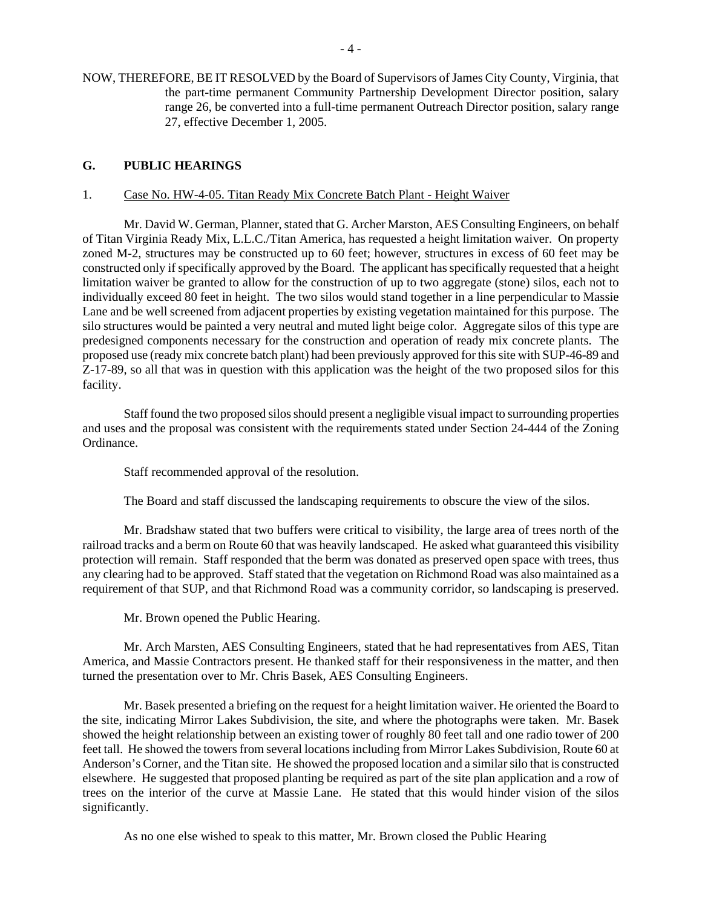NOW, THEREFORE, BE IT RESOLVED by the Board of Supervisors of James City County, Virginia, that the part-time permanent Community Partnership Development Director position, salary range 26, be converted into a full-time permanent Outreach Director position, salary range 27, effective December 1, 2005.

## **G. PUBLIC HEARINGS**

#### 1. Case No. HW-4-05. Titan Ready Mix Concrete Batch Plant - Height Waiver

 Mr. David W. German, Planner, stated that G. Archer Marston, AES Consulting Engineers, on behalf of Titan Virginia Ready Mix, L.L.C./Titan America, has requested a height limitation waiver. On property zoned M-2, structures may be constructed up to 60 feet; however, structures in excess of 60 feet may be constructed only if specifically approved by the Board. The applicant has specifically requested that a height limitation waiver be granted to allow for the construction of up to two aggregate (stone) silos, each not to individually exceed 80 feet in height. The two silos would stand together in a line perpendicular to Massie Lane and be well screened from adjacent properties by existing vegetation maintained for this purpose. The silo structures would be painted a very neutral and muted light beige color. Aggregate silos of this type are predesigned components necessary for the construction and operation of ready mix concrete plants. The proposed use (ready mix concrete batch plant) had been previously approved for this site with SUP-46-89 and Z-17-89, so all that was in question with this application was the height of the two proposed silos for this facility.

 Staff found the two proposed silos should present a negligible visual impact to surrounding properties and uses and the proposal was consistent with the requirements stated under Section 24-444 of the Zoning Ordinance.

Staff recommended approval of the resolution.

The Board and staff discussed the landscaping requirements to obscure the view of the silos.

Mr. Bradshaw stated that two buffers were critical to visibility, the large area of trees north of the railroad tracks and a berm on Route 60 that was heavily landscaped. He asked what guaranteed this visibility protection will remain. Staff responded that the berm was donated as preserved open space with trees, thus any clearing had to be approved. Staff stated that the vegetation on Richmond Road was also maintained as a requirement of that SUP, and that Richmond Road was a community corridor, so landscaping is preserved.

Mr. Brown opened the Public Hearing.

Mr. Arch Marsten, AES Consulting Engineers, stated that he had representatives from AES, Titan America, and Massie Contractors present. He thanked staff for their responsiveness in the matter, and then turned the presentation over to Mr. Chris Basek, AES Consulting Engineers.

Mr. Basek presented a briefing on the request for a height limitation waiver. He oriented the Board to the site, indicating Mirror Lakes Subdivision, the site, and where the photographs were taken. Mr. Basek showed the height relationship between an existing tower of roughly 80 feet tall and one radio tower of 200 feet tall. He showed the towers from several locations including from Mirror Lakes Subdivision, Route 60 at Anderson's Corner, and the Titan site. He showed the proposed location and a similar silo that is constructed elsewhere. He suggested that proposed planting be required as part of the site plan application and a row of trees on the interior of the curve at Massie Lane. He stated that this would hinder vision of the silos significantly.

As no one else wished to speak to this matter, Mr. Brown closed the Public Hearing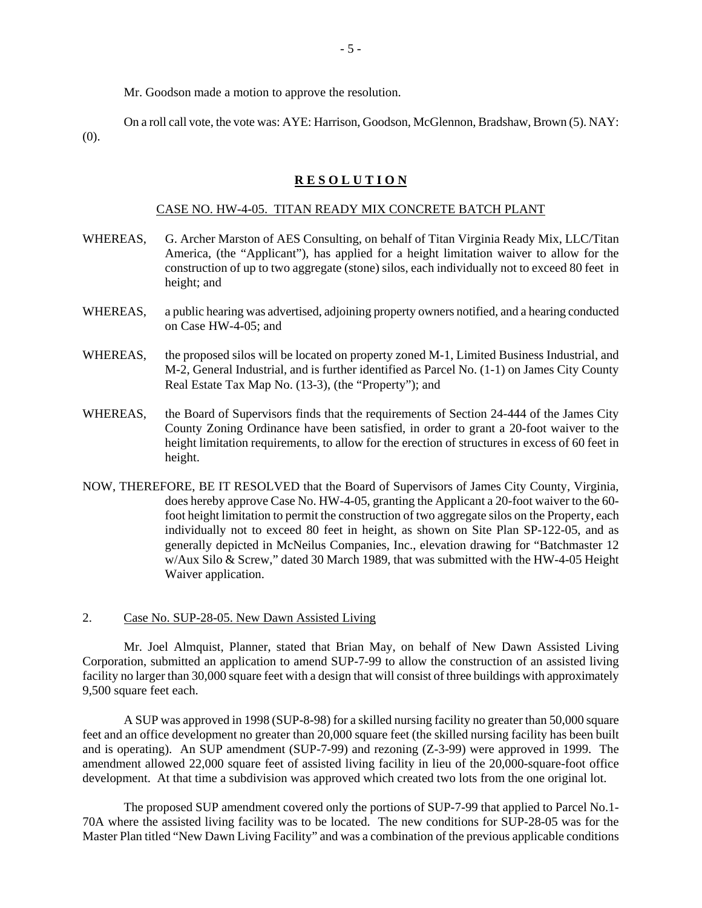Mr. Goodson made a motion to approve the resolution.

On a roll call vote, the vote was: AYE: Harrison, Goodson, McGlennon, Bradshaw, Brown (5). NAY: (0).

#### **R E S O L U T I O N**

#### CASE NO. HW-4-05. TITAN READY MIX CONCRETE BATCH PLANT

- WHEREAS, G. Archer Marston of AES Consulting, on behalf of Titan Virginia Ready Mix, LLC/Titan America, (the "Applicant"), has applied for a height limitation waiver to allow for the construction of up to two aggregate (stone) silos, each individually not to exceed 80 feet in height; and
- WHEREAS, a public hearing was advertised, adjoining property owners notified, and a hearing conducted on Case HW-4-05; and
- WHEREAS, the proposed silos will be located on property zoned M-1, Limited Business Industrial, and M-2, General Industrial, and is further identified as Parcel No. (1-1) on James City County Real Estate Tax Map No. (13-3), (the "Property"); and
- WHEREAS, the Board of Supervisors finds that the requirements of Section 24-444 of the James City County Zoning Ordinance have been satisfied, in order to grant a 20-foot waiver to the height limitation requirements, to allow for the erection of structures in excess of 60 feet in height.
- NOW, THEREFORE, BE IT RESOLVED that the Board of Supervisors of James City County, Virginia, does hereby approve Case No. HW-4-05, granting the Applicant a 20-foot waiver to the 60 foot height limitation to permit the construction of two aggregate silos on the Property, each individually not to exceed 80 feet in height, as shown on Site Plan SP-122-05, and as generally depicted in McNeilus Companies, Inc., elevation drawing for "Batchmaster 12 w/Aux Silo & Screw," dated 30 March 1989, that was submitted with the HW-4-05 Height Waiver application.

2. Case No. SUP-28-05. New Dawn Assisted Living

 Mr. Joel Almquist, Planner, stated that Brian May, on behalf of New Dawn Assisted Living Corporation, submitted an application to amend SUP-7-99 to allow the construction of an assisted living facility no larger than 30,000 square feet with a design that will consist of three buildings with approximately 9,500 square feet each.

 A SUP was approved in 1998 (SUP-8-98) for a skilled nursing facility no greater than 50,000 square feet and an office development no greater than 20,000 square feet (the skilled nursing facility has been built and is operating). An SUP amendment (SUP-7-99) and rezoning (Z-3-99) were approved in 1999. The amendment allowed 22,000 square feet of assisted living facility in lieu of the 20,000-square-foot office development. At that time a subdivision was approved which created two lots from the one original lot.

 The proposed SUP amendment covered only the portions of SUP-7-99 that applied to Parcel No.1- 70A where the assisted living facility was to be located. The new conditions for SUP-28-05 was for the Master Plan titled "New Dawn Living Facility" and was a combination of the previous applicable conditions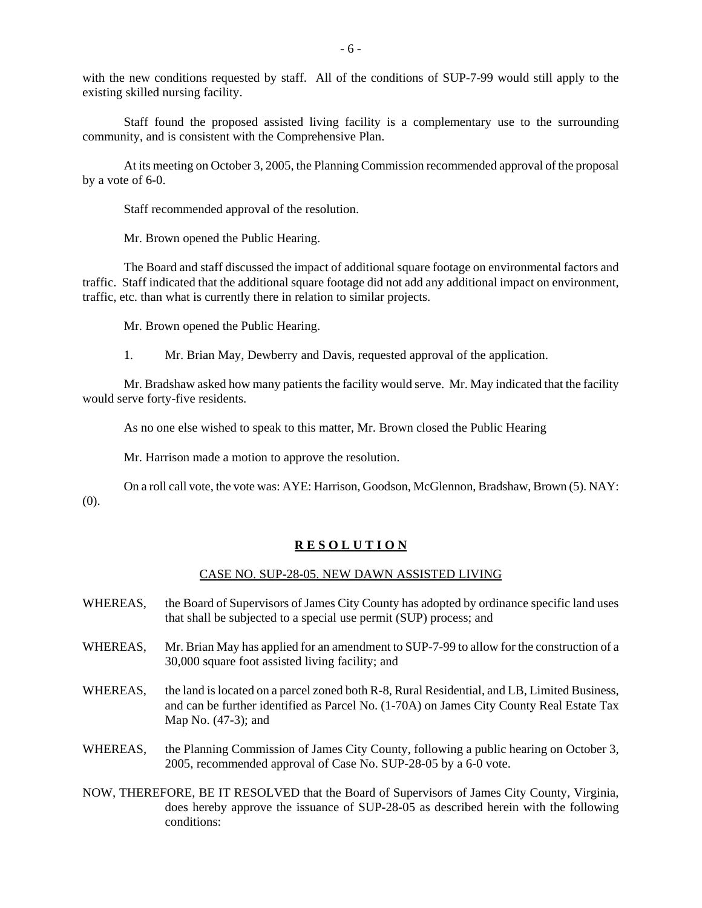with the new conditions requested by staff. All of the conditions of SUP-7-99 would still apply to the existing skilled nursing facility.

 Staff found the proposed assisted living facility is a complementary use to the surrounding community, and is consistent with the Comprehensive Plan.

 At its meeting on October 3, 2005, the Planning Commission recommended approval of the proposal by a vote of 6-0.

Staff recommended approval of the resolution.

Mr. Brown opened the Public Hearing.

The Board and staff discussed the impact of additional square footage on environmental factors and traffic. Staff indicated that the additional square footage did not add any additional impact on environment, traffic, etc. than what is currently there in relation to similar projects.

Mr. Brown opened the Public Hearing.

1. Mr. Brian May, Dewberry and Davis, requested approval of the application.

Mr. Bradshaw asked how many patients the facility would serve. Mr. May indicated that the facility would serve forty-five residents.

As no one else wished to speak to this matter, Mr. Brown closed the Public Hearing

Mr. Harrison made a motion to approve the resolution.

On a roll call vote, the vote was: AYE: Harrison, Goodson, McGlennon, Bradshaw, Brown (5). NAY: (0).

#### **R E S O L U T I O N**

#### CASE NO. SUP-28-05. NEW DAWN ASSISTED LIVING

- WHEREAS, the Board of Supervisors of James City County has adopted by ordinance specific land uses that shall be subjected to a special use permit (SUP) process; and
- WHEREAS, Mr. Brian May has applied for an amendment to SUP-7-99 to allow for the construction of a 30,000 square foot assisted living facility; and
- WHEREAS, the land is located on a parcel zoned both R-8, Rural Residential, and LB, Limited Business, and can be further identified as Parcel No. (1-70A) on James City County Real Estate Tax Map No. (47-3); and
- WHEREAS, the Planning Commission of James City County, following a public hearing on October 3, 2005, recommended approval of Case No. SUP-28-05 by a 6-0 vote.
- NOW, THEREFORE, BE IT RESOLVED that the Board of Supervisors of James City County, Virginia, does hereby approve the issuance of SUP-28-05 as described herein with the following conditions: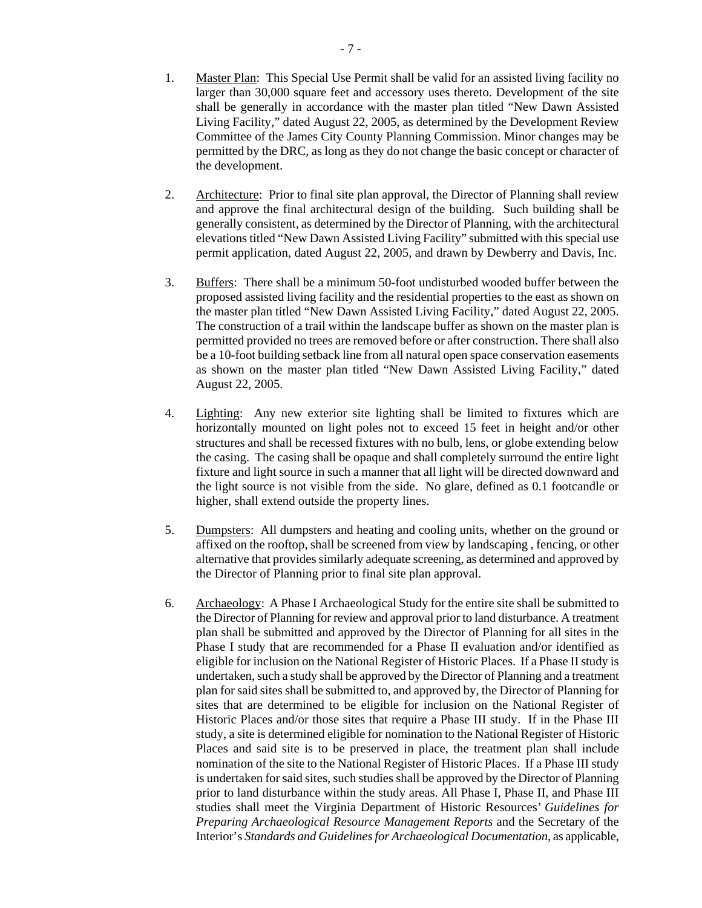- 1. Master Plan: This Special Use Permit shall be valid for an assisted living facility no larger than 30,000 square feet and accessory uses thereto. Development of the site shall be generally in accordance with the master plan titled "New Dawn Assisted Living Facility," dated August 22, 2005, as determined by the Development Review Committee of the James City County Planning Commission. Minor changes may be permitted by the DRC, as long as they do not change the basic concept or character of the development.
- 2. Architecture: Prior to final site plan approval, the Director of Planning shall review and approve the final architectural design of the building. Such building shall be generally consistent, as determined by the Director of Planning, with the architectural elevations titled "New Dawn Assisted Living Facility" submitted with this special use permit application, dated August 22, 2005, and drawn by Dewberry and Davis, Inc.
- 3. Buffers: There shall be a minimum 50-foot undisturbed wooded buffer between the proposed assisted living facility and the residential properties to the east as shown on the master plan titled "New Dawn Assisted Living Facility," dated August 22, 2005. The construction of a trail within the landscape buffer as shown on the master plan is permitted provided no trees are removed before or after construction. There shall also be a 10-foot building setback line from all natural open space conservation easements as shown on the master plan titled "New Dawn Assisted Living Facility," dated August 22, 2005.
- 4. Lighting: Any new exterior site lighting shall be limited to fixtures which are horizontally mounted on light poles not to exceed 15 feet in height and/or other structures and shall be recessed fixtures with no bulb, lens, or globe extending below the casing. The casing shall be opaque and shall completely surround the entire light fixture and light source in such a manner that all light will be directed downward and the light source is not visible from the side. No glare, defined as 0.1 footcandle or higher, shall extend outside the property lines.
- 5. Dumpsters: All dumpsters and heating and cooling units, whether on the ground or affixed on the rooftop, shall be screened from view by landscaping , fencing, or other alternative that provides similarly adequate screening, as determined and approved by the Director of Planning prior to final site plan approval.
- 6. Archaeology: A Phase I Archaeological Study for the entire site shall be submitted to the Director of Planning for review and approval prior to land disturbance. A treatment plan shall be submitted and approved by the Director of Planning for all sites in the Phase I study that are recommended for a Phase II evaluation and/or identified as eligible for inclusion on the National Register of Historic Places. If a Phase II study is undertaken, such a study shall be approved by the Director of Planning and a treatment plan for said sites shall be submitted to, and approved by, the Director of Planning for sites that are determined to be eligible for inclusion on the National Register of Historic Places and/or those sites that require a Phase III study. If in the Phase III study, a site is determined eligible for nomination to the National Register of Historic Places and said site is to be preserved in place, the treatment plan shall include nomination of the site to the National Register of Historic Places. If a Phase III study is undertaken for said sites, such studies shall be approved by the Director of Planning prior to land disturbance within the study areas. All Phase I, Phase II, and Phase III studies shall meet the Virginia Department of Historic Resources' *Guidelines for Preparing Archaeological Resource Management Reports* and the Secretary of the Interior's *Standards and Guidelines for Archaeological Documentation*, as applicable,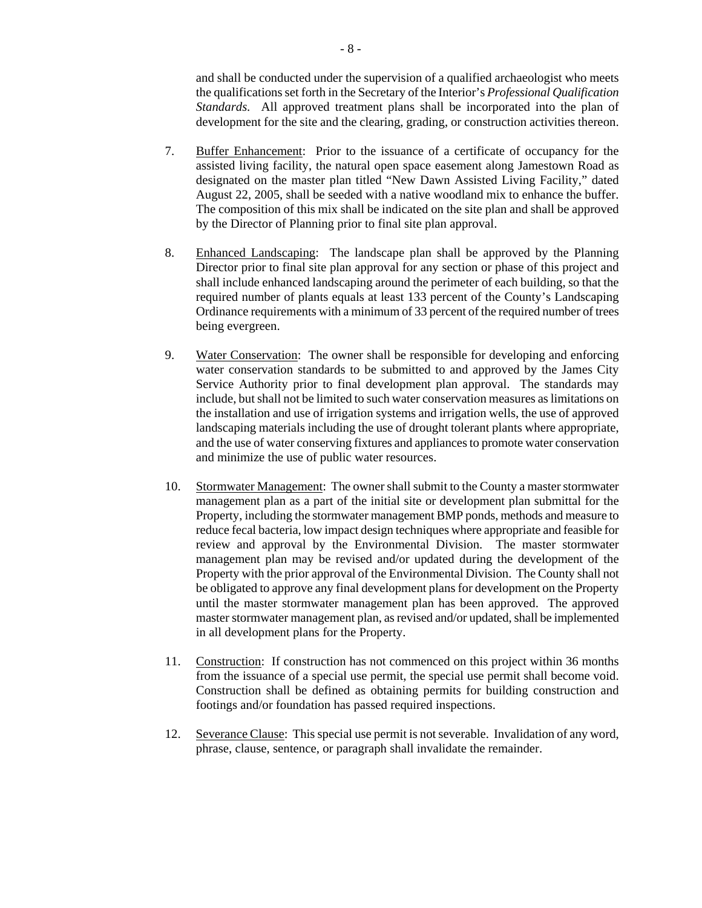and shall be conducted under the supervision of a qualified archaeologist who meets the qualifications set forth in the Secretary of the Interior's *Professional Qualification Standards.* All approved treatment plans shall be incorporated into the plan of development for the site and the clearing, grading, or construction activities thereon.

- 7. Buffer Enhancement: Prior to the issuance of a certificate of occupancy for the assisted living facility, the natural open space easement along Jamestown Road as designated on the master plan titled "New Dawn Assisted Living Facility," dated August 22, 2005, shall be seeded with a native woodland mix to enhance the buffer. The composition of this mix shall be indicated on the site plan and shall be approved by the Director of Planning prior to final site plan approval.
- 8. Enhanced Landscaping: The landscape plan shall be approved by the Planning Director prior to final site plan approval for any section or phase of this project and shall include enhanced landscaping around the perimeter of each building, so that the required number of plants equals at least 133 percent of the County's Landscaping Ordinance requirements with a minimum of 33 percent of the required number of trees being evergreen.
- 9. Water Conservation: The owner shall be responsible for developing and enforcing water conservation standards to be submitted to and approved by the James City Service Authority prior to final development plan approval. The standards may include, but shall not be limited to such water conservation measures as limitations on the installation and use of irrigation systems and irrigation wells, the use of approved landscaping materials including the use of drought tolerant plants where appropriate, and the use of water conserving fixtures and appliances to promote water conservation and minimize the use of public water resources.
- 10. Stormwater Management: The owner shall submit to the County a master stormwater management plan as a part of the initial site or development plan submittal for the Property, including the stormwater management BMP ponds, methods and measure to reduce fecal bacteria, low impact design techniques where appropriate and feasible for review and approval by the Environmental Division. The master stormwater management plan may be revised and/or updated during the development of the Property with the prior approval of the Environmental Division. The County shall not be obligated to approve any final development plans for development on the Property until the master stormwater management plan has been approved. The approved master stormwater management plan, as revised and/or updated, shall be implemented in all development plans for the Property.
- 11. Construction: If construction has not commenced on this project within 36 months from the issuance of a special use permit, the special use permit shall become void. Construction shall be defined as obtaining permits for building construction and footings and/or foundation has passed required inspections.
- 12. Severance Clause: This special use permit is not severable. Invalidation of any word, phrase, clause, sentence, or paragraph shall invalidate the remainder.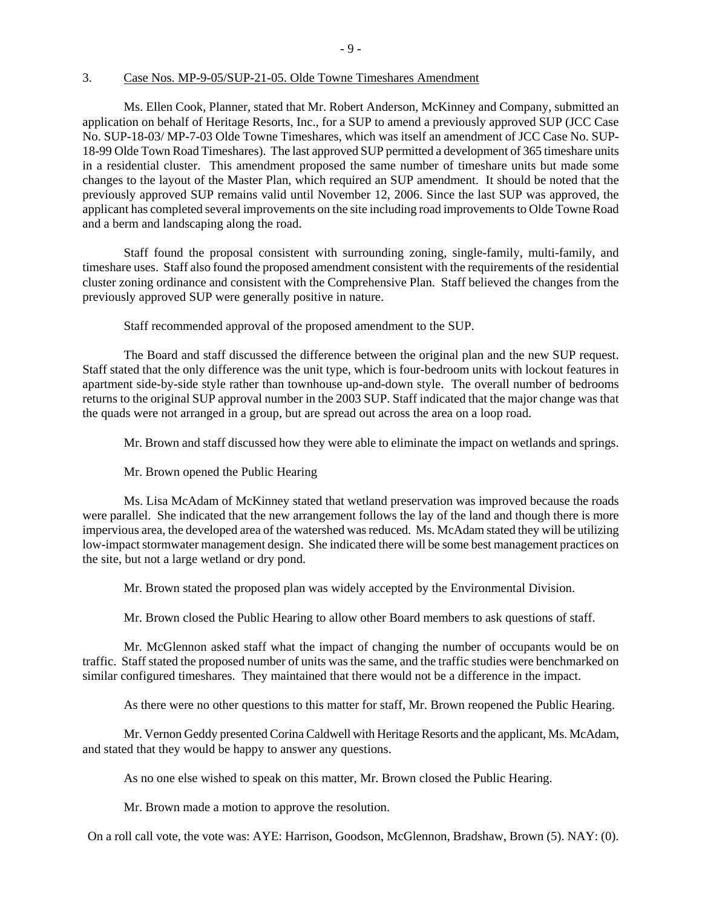#### 3. Case Nos. MP-9-05/SUP-21-05. Olde Towne Timeshares Amendment

 Ms. Ellen Cook, Planner, stated that Mr. Robert Anderson, McKinney and Company, submitted an application on behalf of Heritage Resorts, Inc., for a SUP to amend a previously approved SUP (JCC Case No. SUP-18-03/ MP-7-03 Olde Towne Timeshares, which was itself an amendment of JCC Case No. SUP-18-99 Olde Town Road Timeshares). The last approved SUP permitted a development of 365 timeshare units in a residential cluster. This amendment proposed the same number of timeshare units but made some changes to the layout of the Master Plan, which required an SUP amendment. It should be noted that the previously approved SUP remains valid until November 12, 2006. Since the last SUP was approved, the applicant has completed several improvements on the site including road improvements to Olde Towne Road and a berm and landscaping along the road.

 Staff found the proposal consistent with surrounding zoning, single-family, multi-family, and timeshare uses. Staff also found the proposed amendment consistent with the requirements of the residential cluster zoning ordinance and consistent with the Comprehensive Plan. Staff believed the changes from the previously approved SUP were generally positive in nature.

Staff recommended approval of the proposed amendment to the SUP.

The Board and staff discussed the difference between the original plan and the new SUP request. Staff stated that the only difference was the unit type, which is four-bedroom units with lockout features in apartment side-by-side style rather than townhouse up-and-down style. The overall number of bedrooms returns to the original SUP approval number in the 2003 SUP. Staff indicated that the major change was that the quads were not arranged in a group, but are spread out across the area on a loop road.

Mr. Brown and staff discussed how they were able to eliminate the impact on wetlands and springs.

Mr. Brown opened the Public Hearing

Ms. Lisa McAdam of McKinney stated that wetland preservation was improved because the roads were parallel. She indicated that the new arrangement follows the lay of the land and though there is more impervious area, the developed area of the watershed was reduced. Ms. McAdam stated they will be utilizing low-impact stormwater management design. She indicated there will be some best management practices on the site, but not a large wetland or dry pond.

Mr. Brown stated the proposed plan was widely accepted by the Environmental Division.

Mr. Brown closed the Public Hearing to allow other Board members to ask questions of staff.

Mr. McGlennon asked staff what the impact of changing the number of occupants would be on traffic. Staff stated the proposed number of units was the same, and the traffic studies were benchmarked on similar configured timeshares. They maintained that there would not be a difference in the impact.

As there were no other questions to this matter for staff, Mr. Brown reopened the Public Hearing.

Mr. Vernon Geddy presented Corina Caldwell with Heritage Resorts and the applicant, Ms. McAdam, and stated that they would be happy to answer any questions.

As no one else wished to speak on this matter, Mr. Brown closed the Public Hearing.

Mr. Brown made a motion to approve the resolution.

On a roll call vote, the vote was: AYE: Harrison, Goodson, McGlennon, Bradshaw, Brown (5). NAY: (0).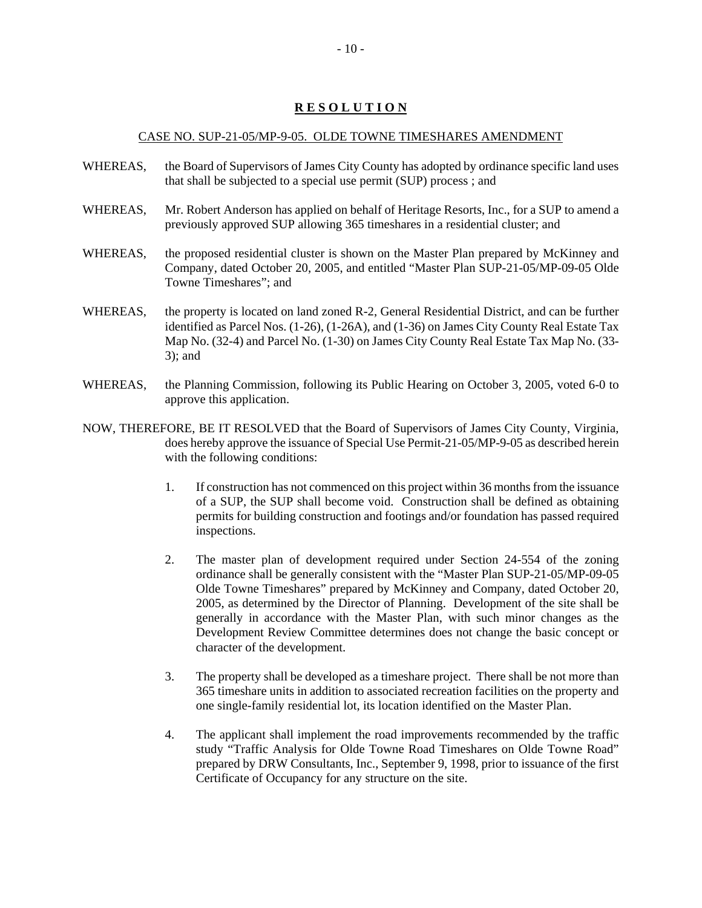# **R E S O L U T I O N**

#### CASE NO. SUP-21-05/MP-9-05. OLDE TOWNE TIMESHARES AMENDMENT

- WHEREAS, the Board of Supervisors of James City County has adopted by ordinance specific land uses that shall be subjected to a special use permit (SUP) process ; and
- WHEREAS, Mr. Robert Anderson has applied on behalf of Heritage Resorts, Inc., for a SUP to amend a previously approved SUP allowing 365 timeshares in a residential cluster; and
- WHEREAS, the proposed residential cluster is shown on the Master Plan prepared by McKinney and Company, dated October 20, 2005, and entitled "Master Plan SUP-21-05/MP-09-05 Olde Towne Timeshares"; and
- WHEREAS, the property is located on land zoned R-2, General Residential District, and can be further identified as Parcel Nos. (1-26), (1-26A), and (1-36) on James City County Real Estate Tax Map No. (32-4) and Parcel No. (1-30) on James City County Real Estate Tax Map No. (33- 3); and
- WHEREAS, the Planning Commission, following its Public Hearing on October 3, 2005, voted 6-0 to approve this application.
- NOW, THEREFORE, BE IT RESOLVED that the Board of Supervisors of James City County, Virginia, does hereby approve the issuance of Special Use Permit-21-05/MP-9-05 as described herein with the following conditions:
	- 1. If construction has not commenced on this project within 36 months from the issuance of a SUP, the SUP shall become void. Construction shall be defined as obtaining permits for building construction and footings and/or foundation has passed required inspections.
	- 2. The master plan of development required under Section 24-554 of the zoning ordinance shall be generally consistent with the "Master Plan SUP-21-05/MP-09-05 Olde Towne Timeshares" prepared by McKinney and Company, dated October 20, 2005, as determined by the Director of Planning. Development of the site shall be generally in accordance with the Master Plan, with such minor changes as the Development Review Committee determines does not change the basic concept or character of the development.
	- 3. The property shall be developed as a timeshare project. There shall be not more than 365 timeshare units in addition to associated recreation facilities on the property and one single-family residential lot, its location identified on the Master Plan.
	- 4. The applicant shall implement the road improvements recommended by the traffic study "Traffic Analysis for Olde Towne Road Timeshares on Olde Towne Road" prepared by DRW Consultants, Inc., September 9, 1998, prior to issuance of the first Certificate of Occupancy for any structure on the site.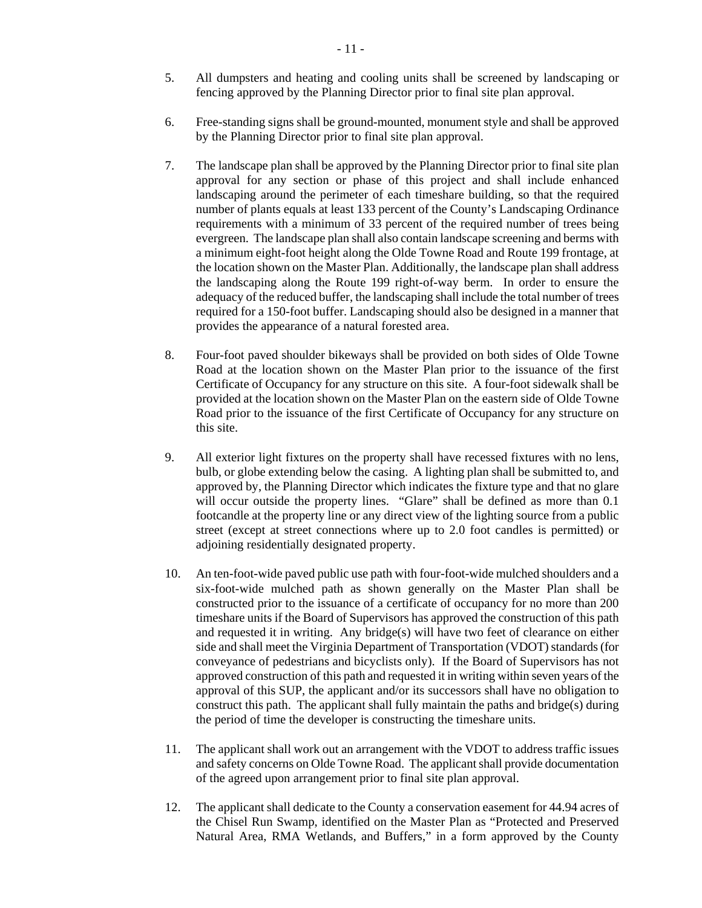- 5. All dumpsters and heating and cooling units shall be screened by landscaping or fencing approved by the Planning Director prior to final site plan approval.
- 6. Free-standing signs shall be ground-mounted, monument style and shall be approved by the Planning Director prior to final site plan approval.
- 7. The landscape plan shall be approved by the Planning Director prior to final site plan approval for any section or phase of this project and shall include enhanced landscaping around the perimeter of each timeshare building, so that the required number of plants equals at least 133 percent of the County's Landscaping Ordinance requirements with a minimum of 33 percent of the required number of trees being evergreen. The landscape plan shall also contain landscape screening and berms with a minimum eight-foot height along the Olde Towne Road and Route 199 frontage, at the location shown on the Master Plan. Additionally, the landscape plan shall address the landscaping along the Route 199 right-of-way berm. In order to ensure the adequacy of the reduced buffer, the landscaping shall include the total number of trees required for a 150-foot buffer. Landscaping should also be designed in a manner that provides the appearance of a natural forested area.
- 8. Four-foot paved shoulder bikeways shall be provided on both sides of Olde Towne Road at the location shown on the Master Plan prior to the issuance of the first Certificate of Occupancy for any structure on this site. A four-foot sidewalk shall be provided at the location shown on the Master Plan on the eastern side of Olde Towne Road prior to the issuance of the first Certificate of Occupancy for any structure on this site.
- 9. All exterior light fixtures on the property shall have recessed fixtures with no lens, bulb, or globe extending below the casing. A lighting plan shall be submitted to, and approved by, the Planning Director which indicates the fixture type and that no glare will occur outside the property lines. "Glare" shall be defined as more than  $0.1$ footcandle at the property line or any direct view of the lighting source from a public street (except at street connections where up to 2.0 foot candles is permitted) or adjoining residentially designated property.
- 10. An ten-foot-wide paved public use path with four-foot-wide mulched shoulders and a six-foot-wide mulched path as shown generally on the Master Plan shall be constructed prior to the issuance of a certificate of occupancy for no more than 200 timeshare units if the Board of Supervisors has approved the construction of this path and requested it in writing. Any bridge(s) will have two feet of clearance on either side and shall meet the Virginia Department of Transportation (VDOT) standards (for conveyance of pedestrians and bicyclists only). If the Board of Supervisors has not approved construction of this path and requested it in writing within seven years of the approval of this SUP, the applicant and/or its successors shall have no obligation to construct this path. The applicant shall fully maintain the paths and bridge(s) during the period of time the developer is constructing the timeshare units.
- 11. The applicant shall work out an arrangement with the VDOT to address traffic issues and safety concerns on Olde Towne Road. The applicant shall provide documentation of the agreed upon arrangement prior to final site plan approval.
- 12. The applicant shall dedicate to the County a conservation easement for 44.94 acres of the Chisel Run Swamp, identified on the Master Plan as "Protected and Preserved Natural Area, RMA Wetlands, and Buffers," in a form approved by the County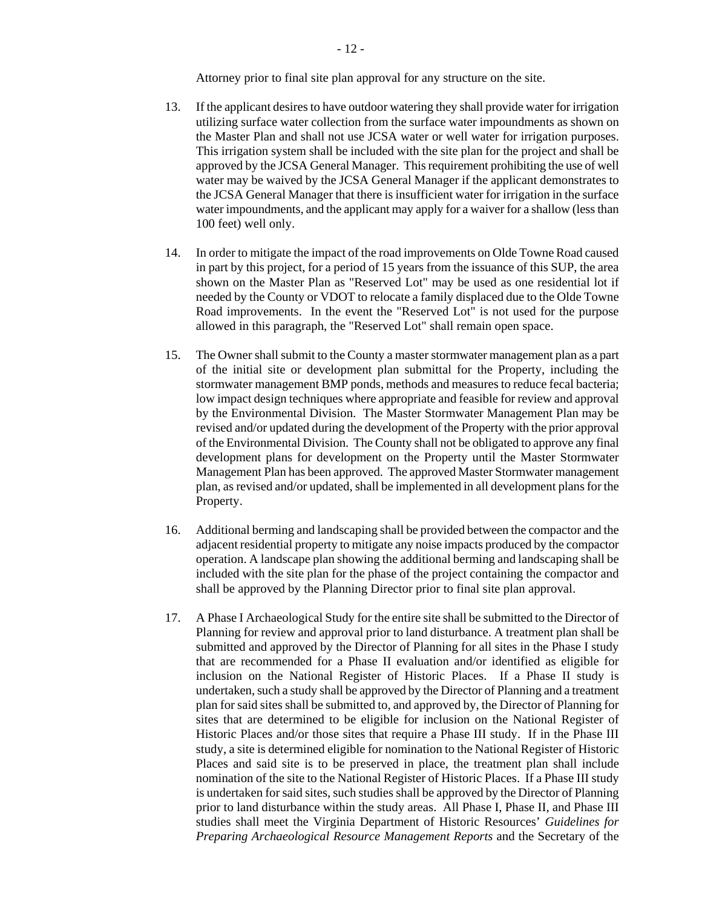Attorney prior to final site plan approval for any structure on the site.

- 13. If the applicant desires to have outdoor watering they shall provide water for irrigation utilizing surface water collection from the surface water impoundments as shown on the Master Plan and shall not use JCSA water or well water for irrigation purposes. This irrigation system shall be included with the site plan for the project and shall be approved by the JCSA General Manager. This requirement prohibiting the use of well water may be waived by the JCSA General Manager if the applicant demonstrates to the JCSA General Manager that there is insufficient water for irrigation in the surface water impoundments, and the applicant may apply for a waiver for a shallow (less than 100 feet) well only.
- 14. In order to mitigate the impact of the road improvements on Olde Towne Road caused in part by this project, for a period of 15 years from the issuance of this SUP, the area shown on the Master Plan as "Reserved Lot" may be used as one residential lot if needed by the County or VDOT to relocate a family displaced due to the Olde Towne Road improvements. In the event the "Reserved Lot" is not used for the purpose allowed in this paragraph, the "Reserved Lot" shall remain open space.
- 15. The Owner shall submit to the County a master stormwater management plan as a part of the initial site or development plan submittal for the Property, including the stormwater management BMP ponds, methods and measures to reduce fecal bacteria; low impact design techniques where appropriate and feasible for review and approval by the Environmental Division. The Master Stormwater Management Plan may be revised and/or updated during the development of the Property with the prior approval of the Environmental Division. The County shall not be obligated to approve any final development plans for development on the Property until the Master Stormwater Management Plan has been approved. The approved Master Stormwater management plan, as revised and/or updated, shall be implemented in all development plans for the Property.
- 16. Additional berming and landscaping shall be provided between the compactor and the adjacent residential property to mitigate any noise impacts produced by the compactor operation. A landscape plan showing the additional berming and landscaping shall be included with the site plan for the phase of the project containing the compactor and shall be approved by the Planning Director prior to final site plan approval.
- 17. A Phase I Archaeological Study for the entire site shall be submitted to the Director of Planning for review and approval prior to land disturbance. A treatment plan shall be submitted and approved by the Director of Planning for all sites in the Phase I study that are recommended for a Phase II evaluation and/or identified as eligible for inclusion on the National Register of Historic Places. If a Phase II study is undertaken, such a study shall be approved by the Director of Planning and a treatment plan for said sites shall be submitted to, and approved by, the Director of Planning for sites that are determined to be eligible for inclusion on the National Register of Historic Places and/or those sites that require a Phase III study. If in the Phase III study, a site is determined eligible for nomination to the National Register of Historic Places and said site is to be preserved in place, the treatment plan shall include nomination of the site to the National Register of Historic Places. If a Phase III study is undertaken for said sites, such studies shall be approved by the Director of Planning prior to land disturbance within the study areas. All Phase I, Phase II, and Phase III studies shall meet the Virginia Department of Historic Resources' *Guidelines for Preparing Archaeological Resource Management Reports* and the Secretary of the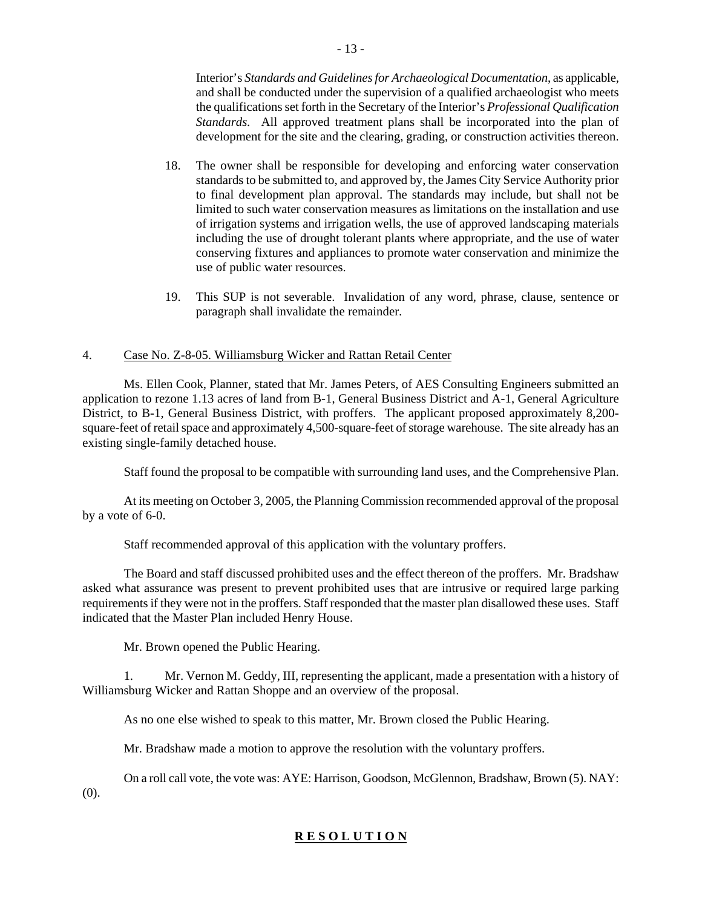Interior's *Standards and Guidelines for Archaeological Documentation*, as applicable, and shall be conducted under the supervision of a qualified archaeologist who meets the qualifications set forth in the Secretary of the Interior's *Professional Qualification Standards.* All approved treatment plans shall be incorporated into the plan of development for the site and the clearing, grading, or construction activities thereon.

- 18. The owner shall be responsible for developing and enforcing water conservation standards to be submitted to, and approved by, the James City Service Authority prior to final development plan approval. The standards may include, but shall not be limited to such water conservation measures as limitations on the installation and use of irrigation systems and irrigation wells, the use of approved landscaping materials including the use of drought tolerant plants where appropriate, and the use of water conserving fixtures and appliances to promote water conservation and minimize the use of public water resources.
- 19. This SUP is not severable. Invalidation of any word, phrase, clause, sentence or paragraph shall invalidate the remainder.

# 4. Case No. Z-8-05. Williamsburg Wicker and Rattan Retail Center

 Ms. Ellen Cook, Planner, stated that Mr. James Peters, of AES Consulting Engineers submitted an application to rezone 1.13 acres of land from B-1, General Business District and A-1, General Agriculture District, to B-1, General Business District, with proffers. The applicant proposed approximately 8,200 square-feet of retail space and approximately 4,500-square-feet of storage warehouse. The site already has an existing single-family detached house.

Staff found the proposal to be compatible with surrounding land uses, and the Comprehensive Plan.

 At its meeting on October 3, 2005, the Planning Commission recommended approval of the proposal by a vote of 6-0.

Staff recommended approval of this application with the voluntary proffers.

The Board and staff discussed prohibited uses and the effect thereon of the proffers. Mr. Bradshaw asked what assurance was present to prevent prohibited uses that are intrusive or required large parking requirements if they were not in the proffers. Staff responded that the master plan disallowed these uses. Staff indicated that the Master Plan included Henry House.

Mr. Brown opened the Public Hearing.

1. Mr. Vernon M. Geddy, III, representing the applicant, made a presentation with a history of Williamsburg Wicker and Rattan Shoppe and an overview of the proposal.

As no one else wished to speak to this matter, Mr. Brown closed the Public Hearing.

Mr. Bradshaw made a motion to approve the resolution with the voluntary proffers.

On a roll call vote, the vote was: AYE: Harrison, Goodson, McGlennon, Bradshaw, Brown (5). NAY: (0).

# **R E S O L U T I O N**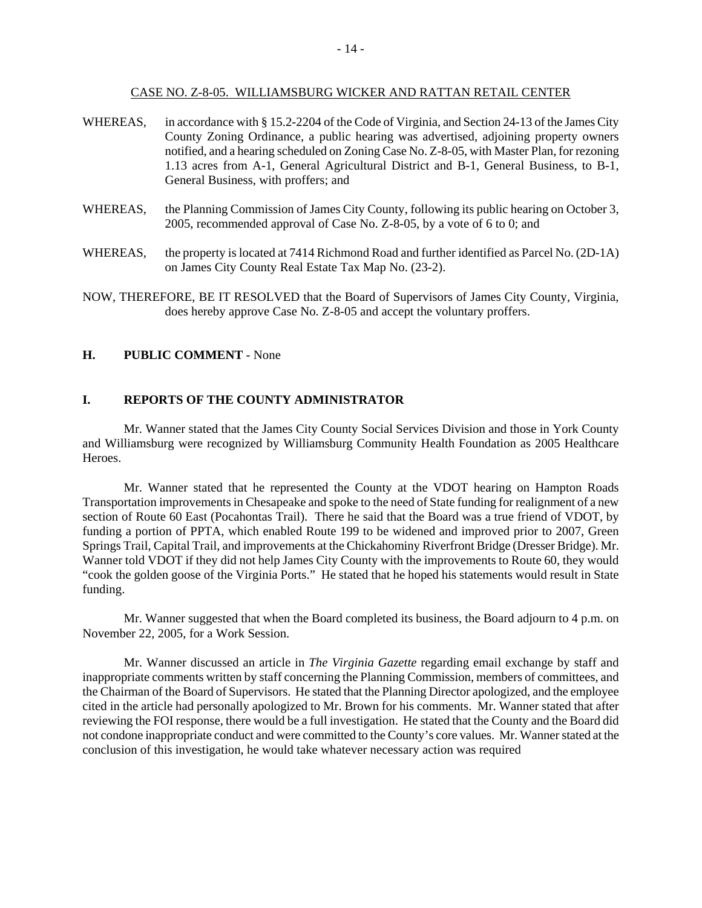#### CASE NO. Z-8-05. WILLIAMSBURG WICKER AND RATTAN RETAIL CENTER

- WHEREAS, in accordance with § 15.2-2204 of the Code of Virginia, and Section 24-13 of the James City County Zoning Ordinance, a public hearing was advertised, adjoining property owners notified, and a hearing scheduled on Zoning Case No. Z-8-05, with Master Plan, for rezoning 1.13 acres from A-1, General Agricultural District and B-1, General Business, to B-1, General Business, with proffers; and
- WHEREAS, the Planning Commission of James City County, following its public hearing on October 3, 2005, recommended approval of Case No. Z-8-05, by a vote of 6 to 0; and
- WHEREAS, the property is located at 7414 Richmond Road and further identified as Parcel No. (2D-1A) on James City County Real Estate Tax Map No. (23-2).
- NOW, THEREFORE, BE IT RESOLVED that the Board of Supervisors of James City County, Virginia, does hereby approve Case No. Z-8-05 and accept the voluntary proffers.

#### **H. PUBLIC COMMENT** - None

#### **I. REPORTS OF THE COUNTY ADMINISTRATOR**

 Mr. Wanner stated that the James City County Social Services Division and those in York County and Williamsburg were recognized by Williamsburg Community Health Foundation as 2005 Healthcare Heroes.

 Mr. Wanner stated that he represented the County at the VDOT hearing on Hampton Roads Transportation improvements in Chesapeake and spoke to the need of State funding for realignment of a new section of Route 60 East (Pocahontas Trail). There he said that the Board was a true friend of VDOT, by funding a portion of PPTA, which enabled Route 199 to be widened and improved prior to 2007, Green Springs Trail, Capital Trail, and improvements at the Chickahominy Riverfront Bridge (Dresser Bridge). Mr. Wanner told VDOT if they did not help James City County with the improvements to Route 60, they would "cook the golden goose of the Virginia Ports." He stated that he hoped his statements would result in State funding.

 Mr. Wanner suggested that when the Board completed its business, the Board adjourn to 4 p.m. on November 22, 2005, for a Work Session.

 Mr. Wanner discussed an article in *The Virginia Gazette* regarding email exchange by staff and inappropriate comments written by staff concerning the Planning Commission, members of committees, and the Chairman of the Board of Supervisors. He stated that the Planning Director apologized, and the employee cited in the article had personally apologized to Mr. Brown for his comments. Mr. Wanner stated that after reviewing the FOI response, there would be a full investigation. He stated that the County and the Board did not condone inappropriate conduct and were committed to the County's core values. Mr. Wanner stated at the conclusion of this investigation, he would take whatever necessary action was required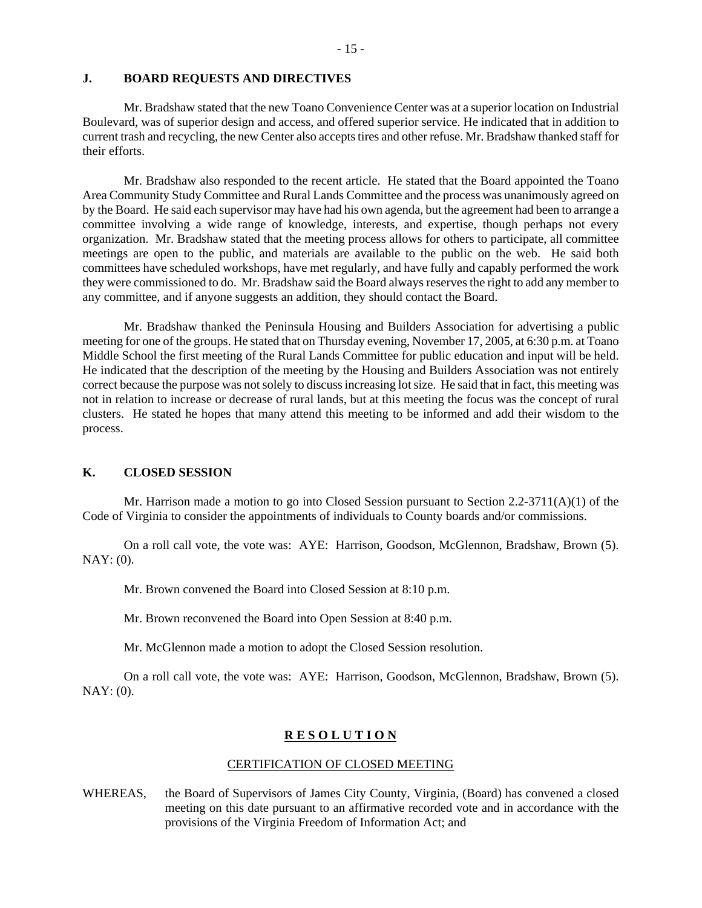#### **J. BOARD REQUESTS AND DIRECTIVES**

 Mr. Bradshaw stated that the new Toano Convenience Center was at a superior location on Industrial Boulevard, was of superior design and access, and offered superior service. He indicated that in addition to current trash and recycling, the new Center also accepts tires and other refuse. Mr. Bradshaw thanked staff for their efforts.

 Mr. Bradshaw also responded to the recent article. He stated that the Board appointed the Toano Area Community Study Committee and Rural Lands Committee and the process was unanimously agreed on by the Board. He said each supervisor may have had his own agenda, but the agreement had been to arrange a committee involving a wide range of knowledge, interests, and expertise, though perhaps not every organization. Mr. Bradshaw stated that the meeting process allows for others to participate, all committee meetings are open to the public, and materials are available to the public on the web. He said both committees have scheduled workshops, have met regularly, and have fully and capably performed the work they were commissioned to do. Mr. Bradshaw said the Board always reserves the right to add any member to any committee, and if anyone suggests an addition, they should contact the Board.

 Mr. Bradshaw thanked the Peninsula Housing and Builders Association for advertising a public meeting for one of the groups. He stated that on Thursday evening, November 17, 2005, at 6:30 p.m. at Toano Middle School the first meeting of the Rural Lands Committee for public education and input will be held. He indicated that the description of the meeting by the Housing and Builders Association was not entirely correct because the purpose was not solely to discuss increasing lot size. He said that in fact, this meeting was not in relation to increase or decrease of rural lands, but at this meeting the focus was the concept of rural clusters. He stated he hopes that many attend this meeting to be informed and add their wisdom to the process.

#### **K. CLOSED SESSION**

Mr. Harrison made a motion to go into Closed Session pursuant to Section  $2.2\n-3711(A)(1)$  of the Code of Virginia to consider the appointments of individuals to County boards and/or commissions.

On a roll call vote, the vote was: AYE: Harrison, Goodson, McGlennon, Bradshaw, Brown (5). NAY: (0).

Mr. Brown convened the Board into Closed Session at 8:10 p.m.

Mr. Brown reconvened the Board into Open Session at 8:40 p.m.

Mr. McGlennon made a motion to adopt the Closed Session resolution.

On a roll call vote, the vote was: AYE: Harrison, Goodson, McGlennon, Bradshaw, Brown (5). NAY: (0).

#### **R E S O L U T I O N**

#### CERTIFICATION OF CLOSED MEETING

WHEREAS, the Board of Supervisors of James City County, Virginia, (Board) has convened a closed meeting on this date pursuant to an affirmative recorded vote and in accordance with the provisions of the Virginia Freedom of Information Act; and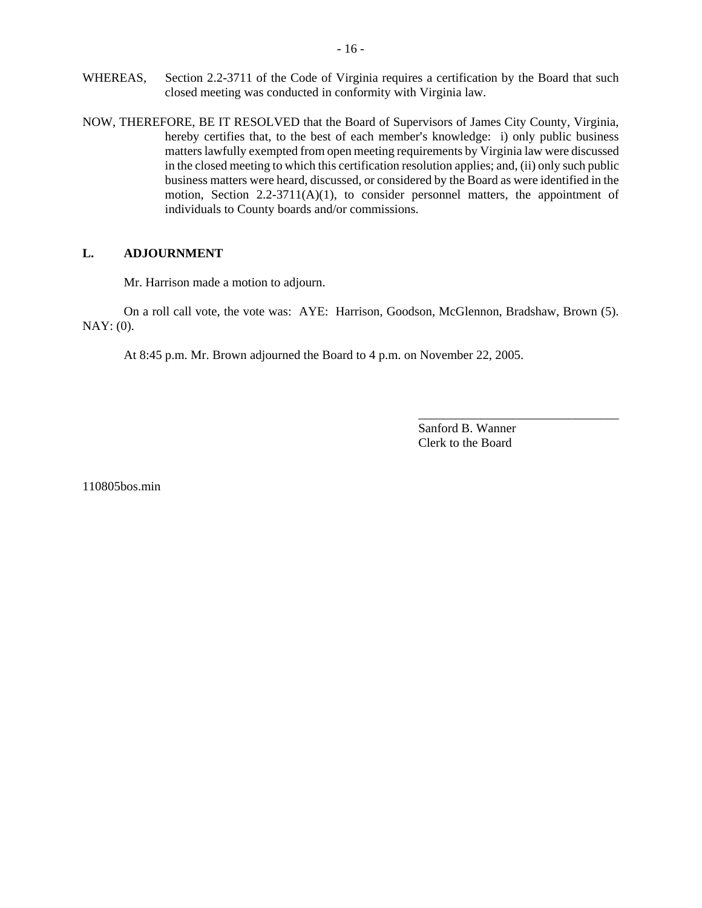- WHEREAS, Section 2.2-3711 of the Code of Virginia requires a certification by the Board that such closed meeting was conducted in conformity with Virginia law.
- NOW, THEREFORE, BE IT RESOLVED that the Board of Supervisors of James City County, Virginia, hereby certifies that, to the best of each member's knowledge: i) only public business matters lawfully exempted from open meeting requirements by Virginia law were discussed in the closed meeting to which this certification resolution applies; and, (ii) only such public business matters were heard, discussed, or considered by the Board as were identified in the motion, Section  $2.2\n-3711(A)(1)$ , to consider personnel matters, the appointment of individuals to County boards and/or commissions.

# **L. ADJOURNMENT**

Mr. Harrison made a motion to adjourn.

On a roll call vote, the vote was: AYE: Harrison, Goodson, McGlennon, Bradshaw, Brown (5). NAY: (0).

At 8:45 p.m. Mr. Brown adjourned the Board to 4 p.m. on November 22, 2005.

Sanford B. Wanner Clerk to the Board

\_\_\_\_\_\_\_\_\_\_\_\_\_\_\_\_\_\_\_\_\_\_\_\_\_\_\_\_\_\_\_\_

110805bos.min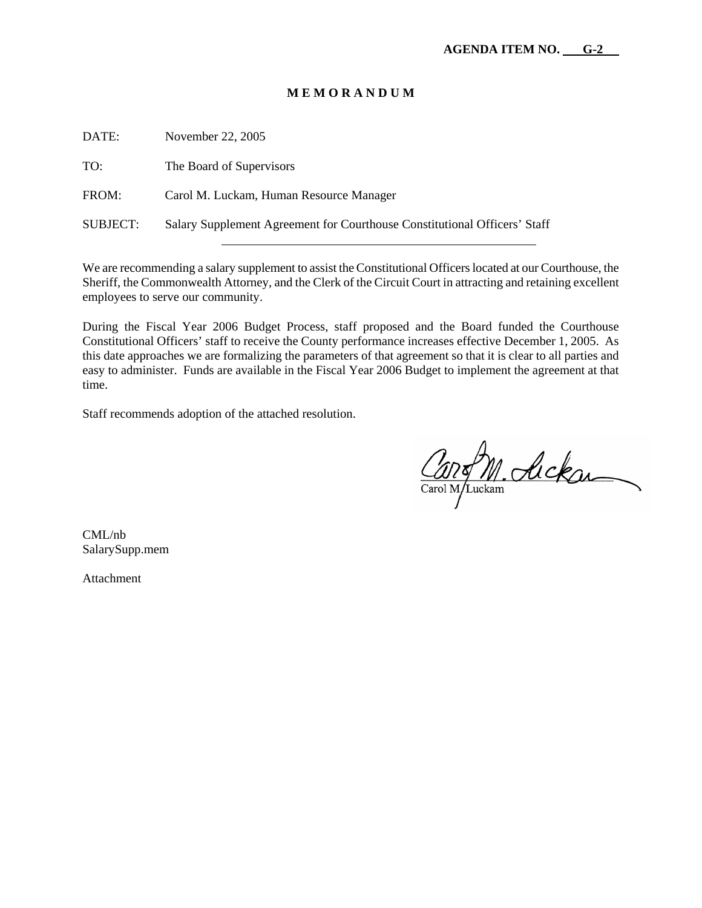| DATE:           | November 22, 2005                                                         |
|-----------------|---------------------------------------------------------------------------|
| TO:             | The Board of Supervisors                                                  |
| FROM:           | Carol M. Luckam, Human Resource Manager                                   |
| <b>SUBJECT:</b> | Salary Supplement Agreement for Courthouse Constitutional Officers' Staff |
|                 |                                                                           |

We are recommending a salary supplement to assist the Constitutional Officers located at our Courthouse, the Sheriff, the Commonwealth Attorney, and the Clerk of the Circuit Court in attracting and retaining excellent employees to serve our community.

During the Fiscal Year 2006 Budget Process, staff proposed and the Board funded the Courthouse Constitutional Officers' staff to receive the County performance increases effective December 1, 2005. As this date approaches we are formalizing the parameters of that agreement so that it is clear to all parties and easy to administer. Funds are available in the Fiscal Year 2006 Budget to implement the agreement at that time.

Staff recommends adoption of the attached resolution.

Cano M. Ackan

CML/nb SalarySupp.mem

Attachment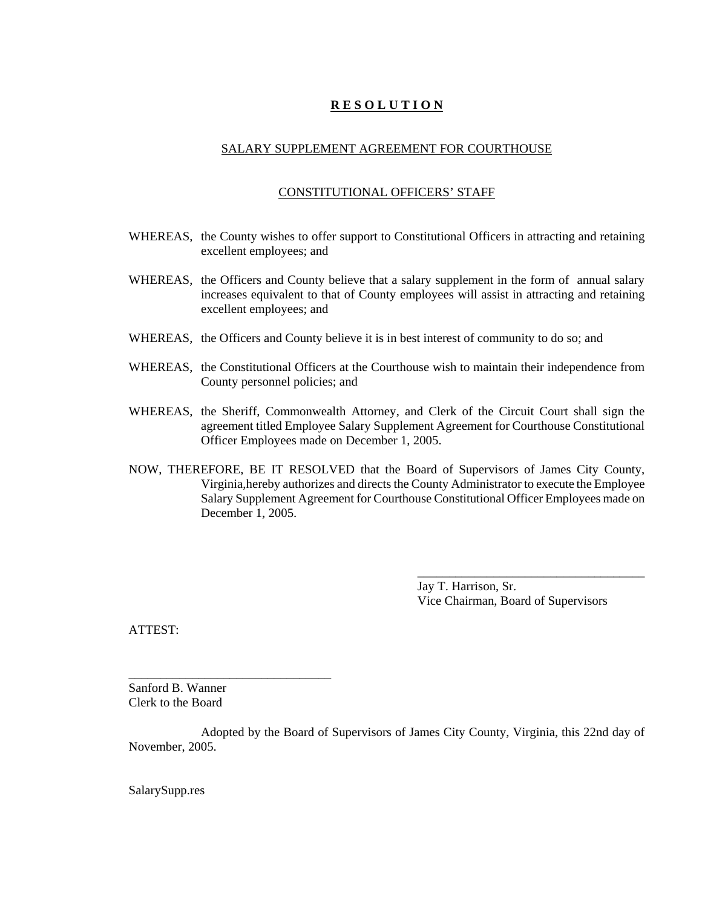# **R E S O L U T I O N**

# SALARY SUPPLEMENT AGREEMENT FOR COURTHOUSE

#### CONSTITUTIONAL OFFICERS' STAFF

- WHEREAS, the County wishes to offer support to Constitutional Officers in attracting and retaining excellent employees; and
- WHEREAS, the Officers and County believe that a salary supplement in the form of annual salary increases equivalent to that of County employees will assist in attracting and retaining excellent employees; and
- WHEREAS, the Officers and County believe it is in best interest of community to do so; and
- WHEREAS, the Constitutional Officers at the Courthouse wish to maintain their independence from County personnel policies; and
- WHEREAS, the Sheriff, Commonwealth Attorney, and Clerk of the Circuit Court shall sign the agreement titled Employee Salary Supplement Agreement for Courthouse Constitutional Officer Employees made on December 1, 2005.
- NOW, THEREFORE, BE IT RESOLVED that the Board of Supervisors of James City County, Virginia,hereby authorizes and directs the County Administrator to execute the Employee Salary Supplement Agreement for Courthouse Constitutional Officer Employees made on December 1, 2005.

Jay T. Harrison, Sr. Vice Chairman, Board of Supervisors

\_\_\_\_\_\_\_\_\_\_\_\_\_\_\_\_\_\_\_\_\_\_\_\_\_\_\_\_\_\_\_\_\_\_\_\_

ATTEST:

Sanford B. Wanner Clerk to the Board

\_\_\_\_\_\_\_\_\_\_\_\_\_\_\_\_\_\_\_\_\_\_\_\_\_\_\_\_\_\_\_\_

Adopted by the Board of Supervisors of James City County, Virginia, this 22nd day of November, 2005.

SalarySupp.res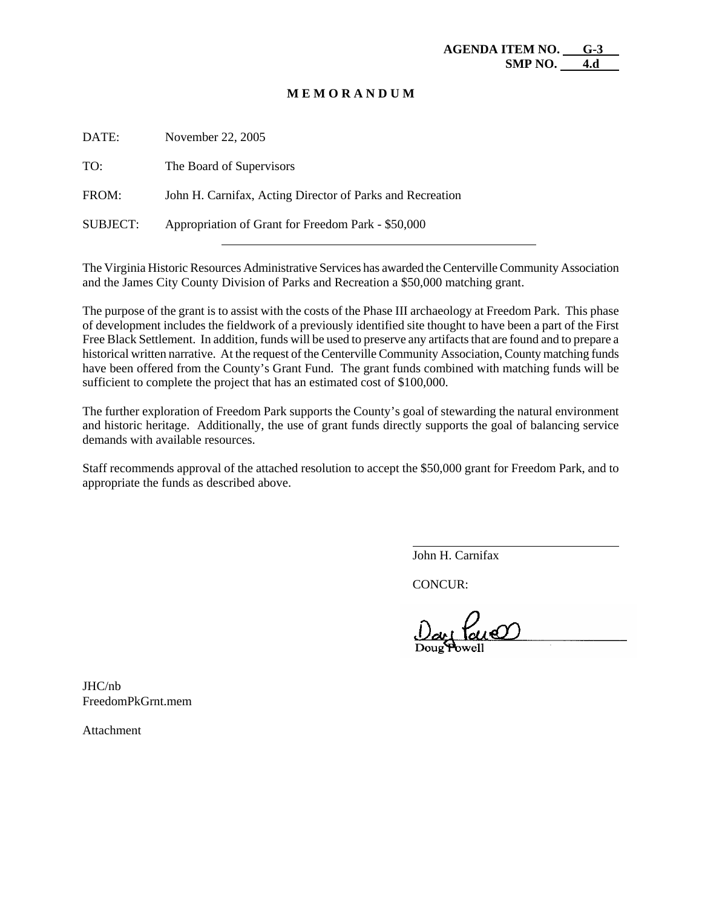| DATE:           | November 22, 2005                                         |
|-----------------|-----------------------------------------------------------|
| TO:             | The Board of Supervisors                                  |
| FROM:           | John H. Carnifax, Acting Director of Parks and Recreation |
| <b>SUBJECT:</b> | Appropriation of Grant for Freedom Park - \$50,000        |
|                 |                                                           |

The Virginia Historic Resources Administrative Services has awarded the Centerville Community Association and the James City County Division of Parks and Recreation a \$50,000 matching grant.

The purpose of the grant is to assist with the costs of the Phase III archaeology at Freedom Park. This phase of development includes the fieldwork of a previously identified site thought to have been a part of the First Free Black Settlement. In addition, funds will be used to preserve any artifacts that are found and to prepare a historical written narrative. At the request of the Centerville Community Association, County matching funds have been offered from the County's Grant Fund. The grant funds combined with matching funds will be sufficient to complete the project that has an estimated cost of \$100,000.

The further exploration of Freedom Park supports the County's goal of stewarding the natural environment and historic heritage. Additionally, the use of grant funds directly supports the goal of balancing service demands with available resources.

Staff recommends approval of the attached resolution to accept the \$50,000 grant for Freedom Park, and to appropriate the funds as described above.

John H. Carnifax

CONCUR:

 $\overline{a}$ 

JHC/nb FreedomPkGrnt.mem

Attachment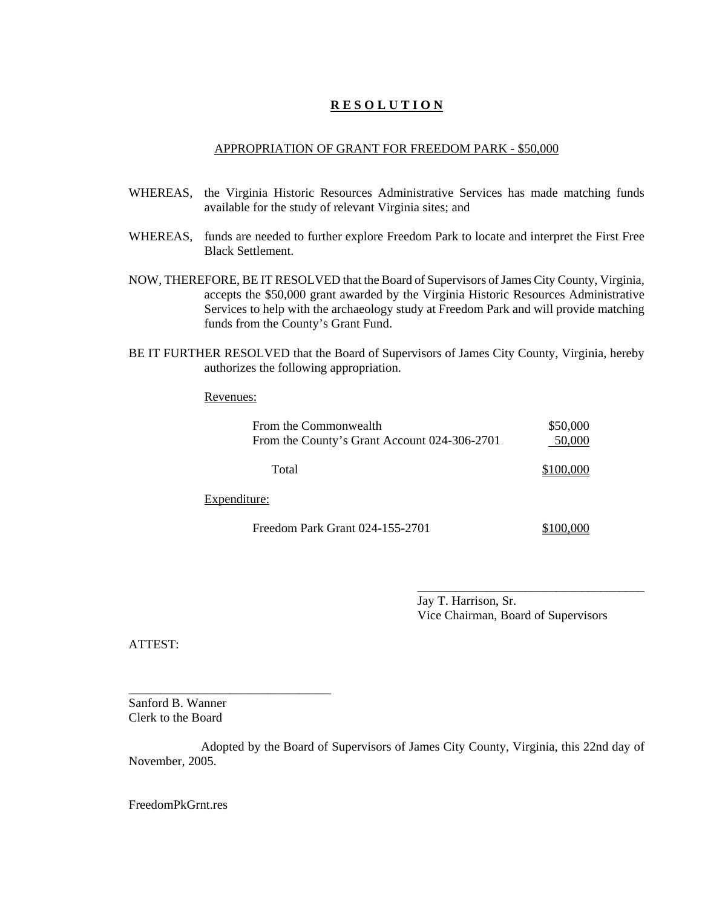# **R E S O L U T I O N**

#### APPROPRIATION OF GRANT FOR FREEDOM PARK - \$50,000

- WHEREAS, the Virginia Historic Resources Administrative Services has made matching funds available for the study of relevant Virginia sites; and
- WHEREAS, funds are needed to further explore Freedom Park to locate and interpret the First Free Black Settlement.
- NOW, THEREFORE, BE IT RESOLVED that the Board of Supervisors of James City County, Virginia, accepts the \$50,000 grant awarded by the Virginia Historic Resources Administrative Services to help with the archaeology study at Freedom Park and will provide matching funds from the County's Grant Fund.
- BE IT FURTHER RESOLVED that the Board of Supervisors of James City County, Virginia, hereby authorizes the following appropriation.

#### Revenues:

| From the Commonwealth<br>From the County's Grant Account 024-306-2701 | \$50,000<br>50,000 |
|-----------------------------------------------------------------------|--------------------|
| Total                                                                 | \$100,000          |
| nditura:                                                              |                    |

Expenditure:

\_\_\_\_\_\_\_\_\_\_\_\_\_\_\_\_\_\_\_\_\_\_\_\_\_\_\_\_\_\_\_\_

Freedom Park Grant 024-155-2701 \$100,000

Jay T. Harrison, Sr. Vice Chairman, Board of Supervisors

\_\_\_\_\_\_\_\_\_\_\_\_\_\_\_\_\_\_\_\_\_\_\_\_\_\_\_\_\_\_\_\_\_\_\_\_

ATTEST:

Sanford B. Wanner Clerk to the Board

Adopted by the Board of Supervisors of James City County, Virginia, this 22nd day of November, 2005.

FreedomPkGrnt.res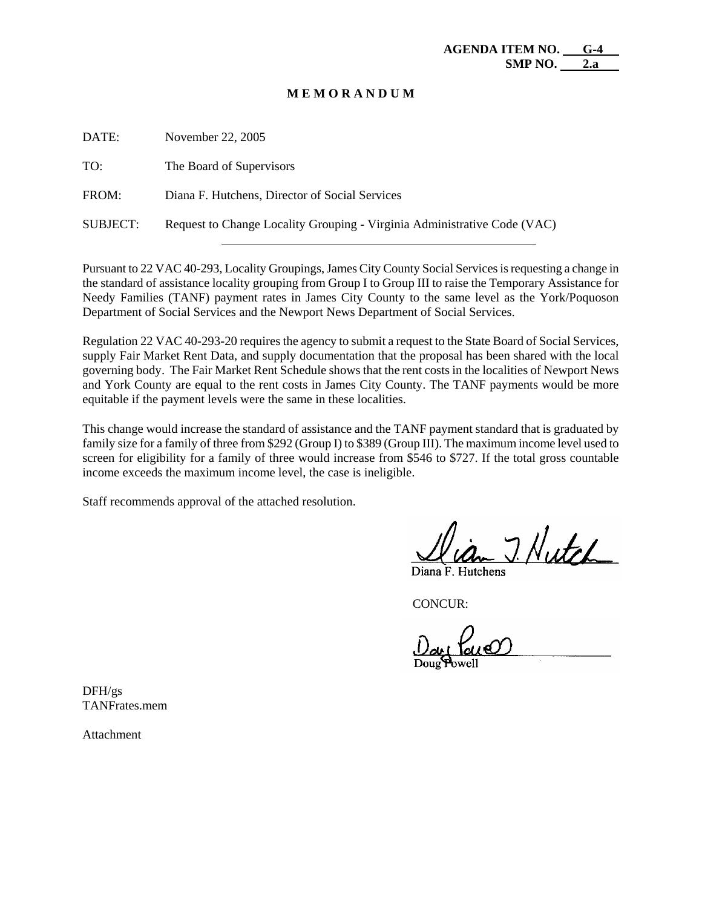| DATE:    | November 22, 2005                                                        |
|----------|--------------------------------------------------------------------------|
| TO:      | The Board of Supervisors                                                 |
| FROM:    | Diana F. Hutchens, Director of Social Services                           |
| SUBJECT: | Request to Change Locality Grouping - Virginia Administrative Code (VAC) |

Pursuant to 22 VAC 40-293, Locality Groupings, James City County Social Services is requesting a change in the standard of assistance locality grouping from Group I to Group III to raise the Temporary Assistance for Needy Families (TANF) payment rates in James City County to the same level as the York/Poquoson Department of Social Services and the Newport News Department of Social Services.

Regulation 22 VAC 40-293-20 requires the agency to submit a request to the State Board of Social Services, supply Fair Market Rent Data, and supply documentation that the proposal has been shared with the local governing body. The Fair Market Rent Schedule shows that the rent costs in the localities of Newport News and York County are equal to the rent costs in James City County. The TANF payments would be more equitable if the payment levels were the same in these localities.

This change would increase the standard of assistance and the TANF payment standard that is graduated by family size for a family of three from \$292 (Group I) to \$389 (Group III). The maximum income level used to screen for eligibility for a family of three would increase from \$546 to \$727. If the total gross countable income exceeds the maximum income level, the case is ineligible.

Staff recommends approval of the attached resolution.

J. Nutch

CONCUR:

DFH/gs TANFrates.mem

Attachment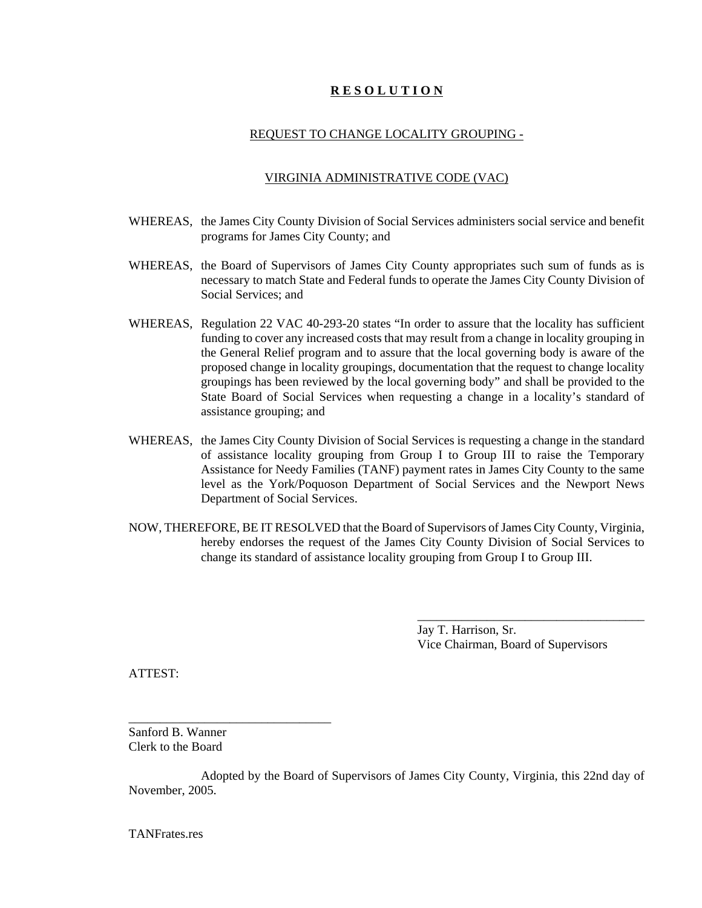# **R E S O L U T I O N**

## REQUEST TO CHANGE LOCALITY GROUPING -

#### VIRGINIA ADMINISTRATIVE CODE (VAC)

- WHEREAS, the James City County Division of Social Services administers social service and benefit programs for James City County; and
- WHEREAS, the Board of Supervisors of James City County appropriates such sum of funds as is necessary to match State and Federal funds to operate the James City County Division of Social Services: and
- WHEREAS, Regulation 22 VAC 40-293-20 states "In order to assure that the locality has sufficient funding to cover any increased costs that may result from a change in locality grouping in the General Relief program and to assure that the local governing body is aware of the proposed change in locality groupings, documentation that the request to change locality groupings has been reviewed by the local governing body" and shall be provided to the State Board of Social Services when requesting a change in a locality's standard of assistance grouping; and
- WHEREAS, the James City County Division of Social Services is requesting a change in the standard of assistance locality grouping from Group I to Group III to raise the Temporary Assistance for Needy Families (TANF) payment rates in James City County to the same level as the York/Poquoson Department of Social Services and the Newport News Department of Social Services.
- NOW, THEREFORE, BE IT RESOLVED that the Board of Supervisors of James City County, Virginia, hereby endorses the request of the James City County Division of Social Services to change its standard of assistance locality grouping from Group I to Group III.

Jay T. Harrison, Sr. Vice Chairman, Board of Supervisors

\_\_\_\_\_\_\_\_\_\_\_\_\_\_\_\_\_\_\_\_\_\_\_\_\_\_\_\_\_\_\_\_\_\_\_\_

ATTEST:

Sanford B. Wanner Clerk to the Board

\_\_\_\_\_\_\_\_\_\_\_\_\_\_\_\_\_\_\_\_\_\_\_\_\_\_\_\_\_\_\_\_

Adopted by the Board of Supervisors of James City County, Virginia, this 22nd day of November, 2005.

TANFrates.res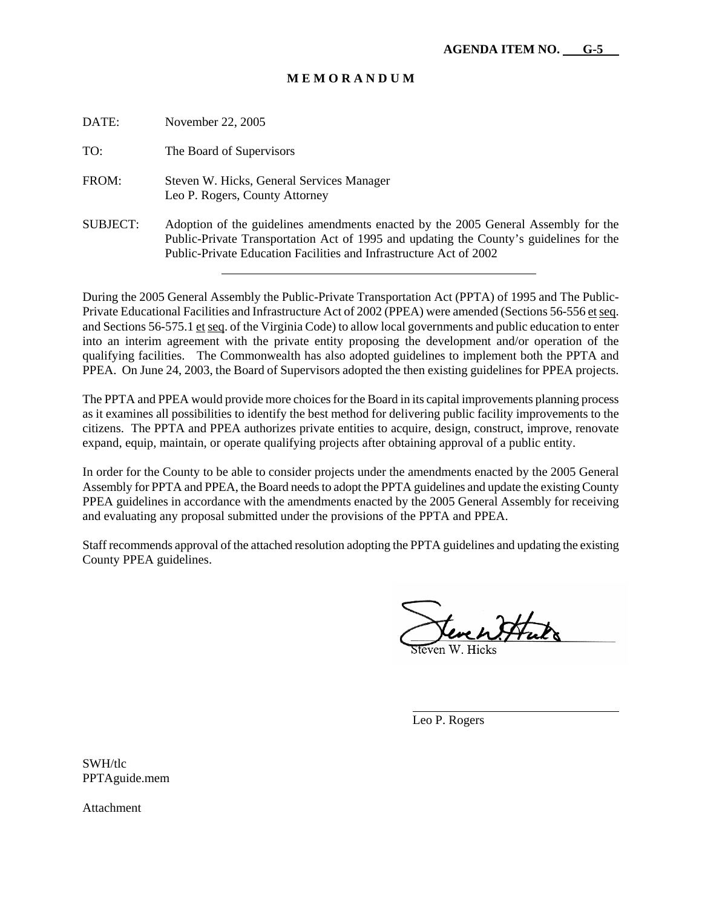| DATE:    | November 22, 2005                                                                                                                                                                                                                                  |
|----------|----------------------------------------------------------------------------------------------------------------------------------------------------------------------------------------------------------------------------------------------------|
| TO:      | The Board of Supervisors                                                                                                                                                                                                                           |
| FROM:    | Steven W. Hicks, General Services Manager<br>Leo P. Rogers, County Attorney                                                                                                                                                                        |
| SUBJECT: | Adoption of the guidelines amendments enacted by the 2005 General Assembly for the<br>Public-Private Transportation Act of 1995 and updating the County's guidelines for the<br>Public-Private Education Facilities and Infrastructure Act of 2002 |

During the 2005 General Assembly the Public-Private Transportation Act (PPTA) of 1995 and The Public-Private Educational Facilities and Infrastructure Act of 2002 (PPEA) were amended (Sections 56-556 et seq. and Sections 56-575.1 et seq. of the Virginia Code) to allow local governments and public education to enter into an interim agreement with the private entity proposing the development and/or operation of the qualifying facilities. The Commonwealth has also adopted guidelines to implement both the PPTA and PPEA. On June 24, 2003, the Board of Supervisors adopted the then existing guidelines for PPEA projects.

The PPTA and PPEA would provide more choices for the Board in its capital improvements planning process as it examines all possibilities to identify the best method for delivering public facility improvements to the citizens. The PPTA and PPEA authorizes private entities to acquire, design, construct, improve, renovate expand, equip, maintain, or operate qualifying projects after obtaining approval of a public entity.

In order for the County to be able to consider projects under the amendments enacted by the 2005 General Assembly for PPTA and PPEA, the Board needs to adopt the PPTA guidelines and update the existing County PPEA guidelines in accordance with the amendments enacted by the 2005 General Assembly for receiving and evaluating any proposal submitted under the provisions of the PPTA and PPEA.

Staff recommends approval of the attached resolution adopting the PPTA guidelines and updating the existing County PPEA guidelines.

tere en Itter

Leo P. Rogers

 $\overline{a}$ 

SWH/tlc PPTAguide.mem

Attachment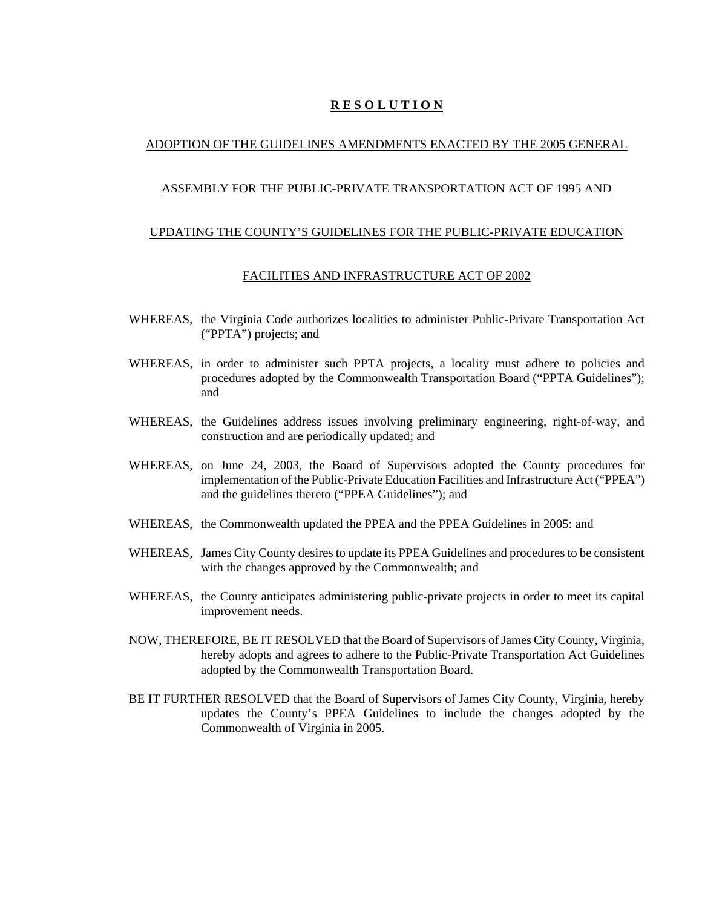# **R E S O L U T I O N**

## ADOPTION OF THE GUIDELINES AMENDMENTS ENACTED BY THE 2005 GENERAL

#### ASSEMBLY FOR THE PUBLIC-PRIVATE TRANSPORTATION ACT OF 1995 AND

#### UPDATING THE COUNTY'S GUIDELINES FOR THE PUBLIC-PRIVATE EDUCATION

#### FACILITIES AND INFRASTRUCTURE ACT OF 2002

- WHEREAS, the Virginia Code authorizes localities to administer Public-Private Transportation Act ("PPTA") projects; and
- WHEREAS, in order to administer such PPTA projects, a locality must adhere to policies and procedures adopted by the Commonwealth Transportation Board ("PPTA Guidelines"); and
- WHEREAS, the Guidelines address issues involving preliminary engineering, right-of-way, and construction and are periodically updated; and
- WHEREAS, on June 24, 2003, the Board of Supervisors adopted the County procedures for implementation of the Public-Private Education Facilities and Infrastructure Act ("PPEA") and the guidelines thereto ("PPEA Guidelines"); and
- WHEREAS, the Commonwealth updated the PPEA and the PPEA Guidelines in 2005: and
- WHEREAS, James City County desires to update its PPEA Guidelines and procedures to be consistent with the changes approved by the Commonwealth; and
- WHEREAS, the County anticipates administering public-private projects in order to meet its capital improvement needs.
- NOW, THEREFORE, BE IT RESOLVED that the Board of Supervisors of James City County, Virginia, hereby adopts and agrees to adhere to the Public-Private Transportation Act Guidelines adopted by the Commonwealth Transportation Board.
- BE IT FURTHER RESOLVED that the Board of Supervisors of James City County, Virginia, hereby updates the County's PPEA Guidelines to include the changes adopted by the Commonwealth of Virginia in 2005.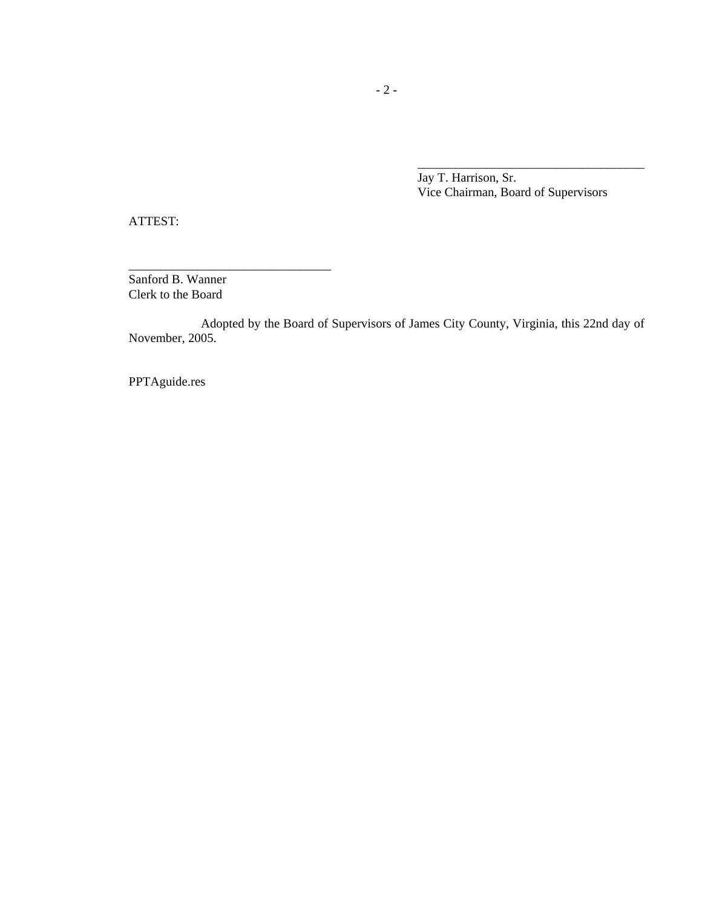Jay T. Harrison, Sr. Vice Chairman, Board of Supervisors

\_\_\_\_\_\_\_\_\_\_\_\_\_\_\_\_\_\_\_\_\_\_\_\_\_\_\_\_\_\_\_\_\_\_\_\_

ATTEST:

Sanford B. Wanner Clerk to the Board

\_\_\_\_\_\_\_\_\_\_\_\_\_\_\_\_\_\_\_\_\_\_\_\_\_\_\_\_\_\_\_\_

Adopted by the Board of Supervisors of James City County, Virginia, this 22nd day of November, 2005.

PPTAguide.res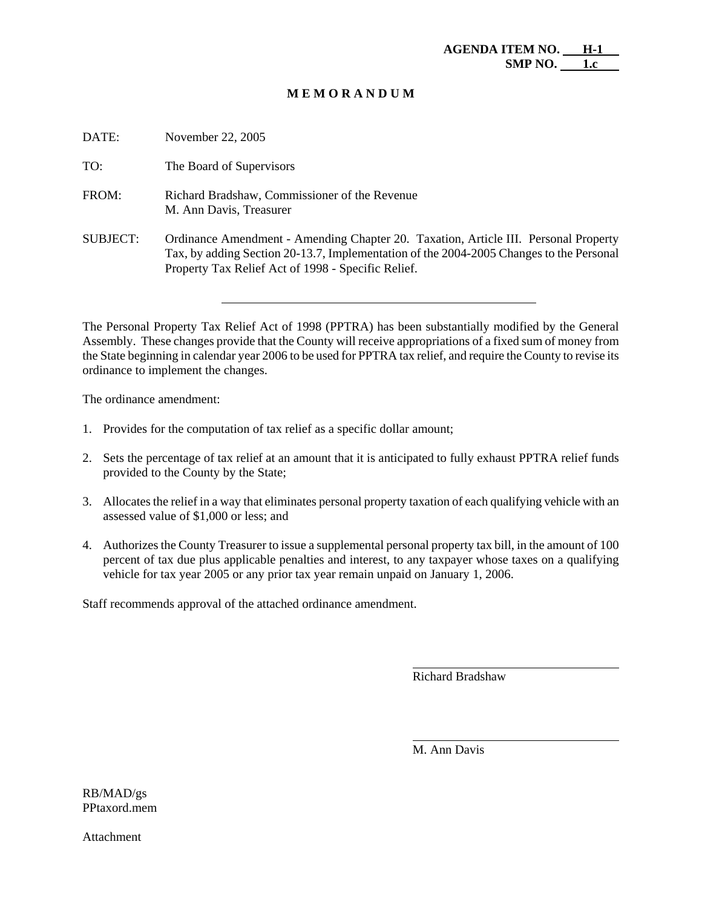| DATE:           | November 22, 2005                                                                                                                                                                                                                    |
|-----------------|--------------------------------------------------------------------------------------------------------------------------------------------------------------------------------------------------------------------------------------|
| TO:             | The Board of Supervisors                                                                                                                                                                                                             |
| FROM:           | Richard Bradshaw, Commissioner of the Revenue<br>M. Ann Davis, Treasurer                                                                                                                                                             |
| <b>SUBJECT:</b> | Ordinance Amendment - Amending Chapter 20. Taxation, Article III. Personal Property<br>Tax, by adding Section 20-13.7, Implementation of the 2004-2005 Changes to the Personal<br>Property Tax Relief Act of 1998 - Specific Relief. |

The Personal Property Tax Relief Act of 1998 (PPTRA) has been substantially modified by the General Assembly. These changes provide that the County will receive appropriations of a fixed sum of money from the State beginning in calendar year 2006 to be used for PPTRA tax relief, and require the County to revise its ordinance to implement the changes.

The ordinance amendment:

- 1. Provides for the computation of tax relief as a specific dollar amount;
- 2. Sets the percentage of tax relief at an amount that it is anticipated to fully exhaust PPTRA relief funds provided to the County by the State;
- 3. Allocates the relief in a way that eliminates personal property taxation of each qualifying vehicle with an assessed value of \$1,000 or less; and
- 4. Authorizes the County Treasurer to issue a supplemental personal property tax bill, in the amount of 100 percent of tax due plus applicable penalties and interest, to any taxpayer whose taxes on a qualifying vehicle for tax year 2005 or any prior tax year remain unpaid on January 1, 2006.

Staff recommends approval of the attached ordinance amendment.

Richard Bradshaw

l

l

M. Ann Davis

RB/MAD/gs PPtaxord.mem

Attachment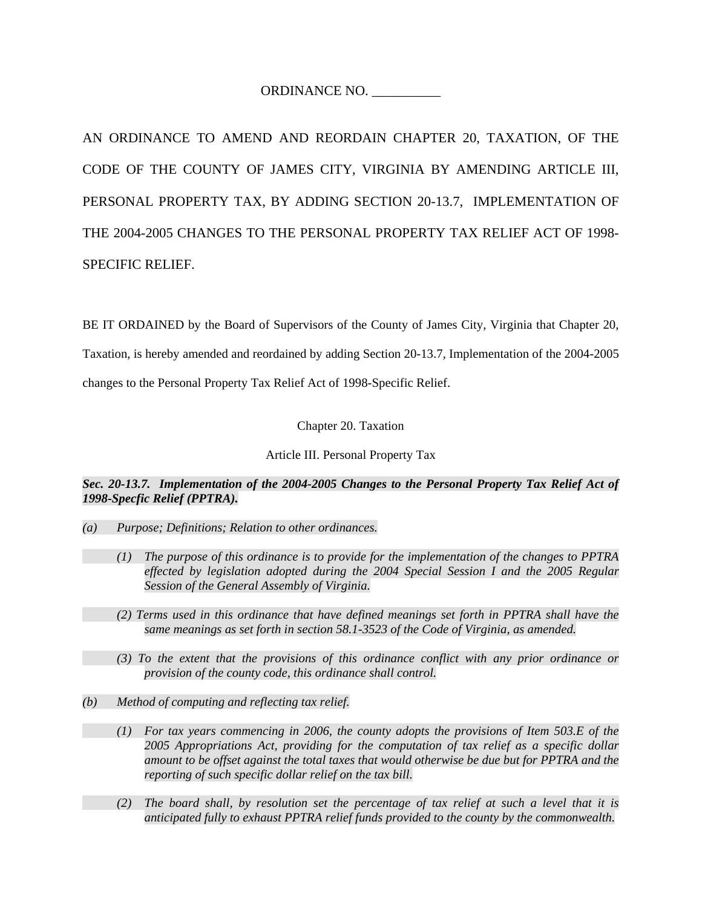ORDINANCE NO. \_\_\_\_\_\_\_\_\_\_

AN ORDINANCE TO AMEND AND REORDAIN CHAPTER 20, TAXATION, OF THE CODE OF THE COUNTY OF JAMES CITY, VIRGINIA BY AMENDING ARTICLE III, PERSONAL PROPERTY TAX, BY ADDING SECTION 20-13.7, IMPLEMENTATION OF THE 2004-2005 CHANGES TO THE PERSONAL PROPERTY TAX RELIEF ACT OF 1998- SPECIFIC RELIEF.

BE IT ORDAINED by the Board of Supervisors of the County of James City, Virginia that Chapter 20, Taxation, is hereby amended and reordained by adding Section 20-13.7, Implementation of the 2004-2005 changes to the Personal Property Tax Relief Act of 1998-Specific Relief.

Chapter 20. Taxation

Article III. Personal Property Tax

*Sec. 20-13.7. Implementation of the 2004-2005 Changes to the Personal Property Tax Relief Act of 1998-Specfic Relief (PPTRA).* 

- *(a) Purpose; Definitions; Relation to other ordinances.* 
	- *(1) The purpose of this ordinance is to provide for the implementation of the changes to PPTRA effected by legislation adopted during the 2004 Special Session I and the 2005 Regular Session of the General Assembly of Virginia.*
	- *(2) Terms used in this ordinance that have defined meanings set forth in PPTRA shall have the same meanings as set forth in section 58.1-3523 of the Code of Virginia, as amended.*
	- *(3) To the extent that the provisions of this ordinance conflict with any prior ordinance or provision of the county code, this ordinance shall control.*
- *(b) Method of computing and reflecting tax relief.* 
	- *(1) For tax years commencing in 2006, the county adopts the provisions of Item 503.E of the 2005 Appropriations Act, providing for the computation of tax relief as a specific dollar amount to be offset against the total taxes that would otherwise be due but for PPTRA and the reporting of such specific dollar relief on the tax bill.*
	- *(2) The board shall, by resolution set the percentage of tax relief at such a level that it is anticipated fully to exhaust PPTRA relief funds provided to the county by the commonwealth.*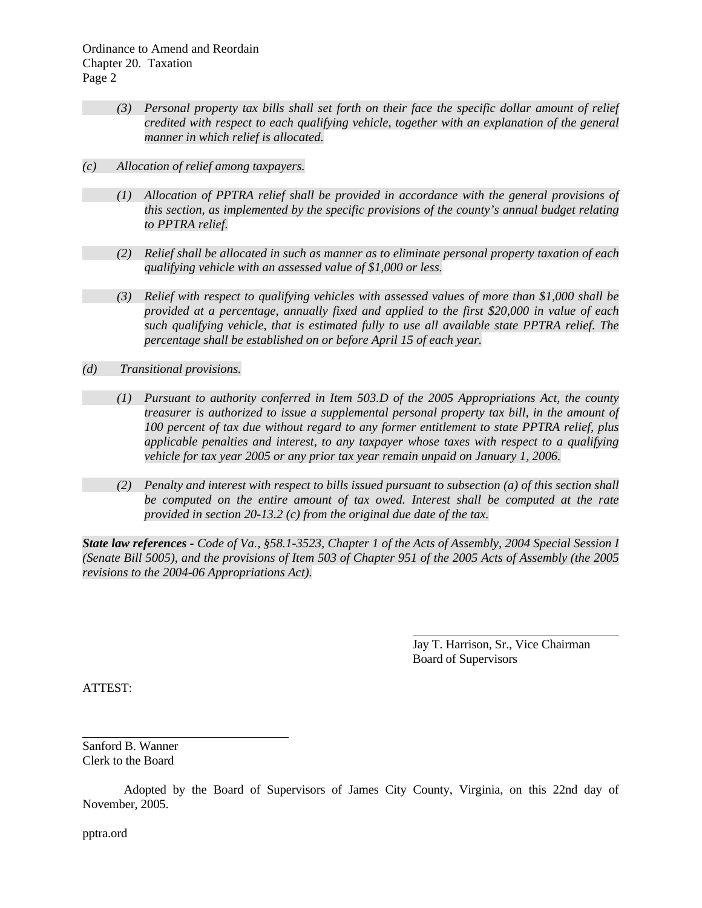- *(3) Personal property tax bills shall set forth on their face the specific dollar amount of relief credited with respect to each qualifying vehicle, together with an explanation of the general manner in which relief is allocated.*
- *(c) Allocation of relief among taxpayers.* 
	- *(1) Allocation of PPTRA relief shall be provided in accordance with the general provisions of this section, as implemented by the specific provisions of the county's annual budget relating to PPTRA relief.*
	- *(2) Relief shall be allocated in such as manner as to eliminate personal property taxation of each qualifying vehicle with an assessed value of \$1,000 or less.*
	- *(3) Relief with respect to qualifying vehicles with assessed values of more than \$1,000 shall be provided at a percentage, annually fixed and applied to the first \$20,000 in value of each such qualifying vehicle, that is estimated fully to use all available state PPTRA relief. The percentage shall be established on or before April 15 of each year.*
- *(d) Transitional provisions.* 
	- *(1) Pursuant to authority conferred in Item 503.D of the 2005 Appropriations Act, the county treasurer is authorized to issue a supplemental personal property tax bill, in the amount of 100 percent of tax due without regard to any former entitlement to state PPTRA relief, plus applicable penalties and interest, to any taxpayer whose taxes with respect to a qualifying vehicle for tax year 2005 or any prior tax year remain unpaid on January 1, 2006.*
	- *(2) Penalty and interest with respect to bills issued pursuant to subsection (a) of this section shall be computed on the entire amount of tax owed. Interest shall be computed at the rate provided in section 20-13.2 (c) from the original due date of the tax.*

*State law references - Code of Va., §58.1-3523, Chapter 1 of the Acts of Assembly, 2004 Special Session I (Senate Bill 5005), and the provisions of Item 503 of Chapter 951 of the 2005 Acts of Assembly (the 2005 revisions to the 2004-06 Appropriations Act).* 

> Jay T. Harrison, Sr., Vice Chairman Board of Supervisors

ATTEST:

l

Sanford B. Wanner Clerk to the Board

 Adopted by the Board of Supervisors of James City County, Virginia, on this 22nd day of November, 2005.

pptra.ord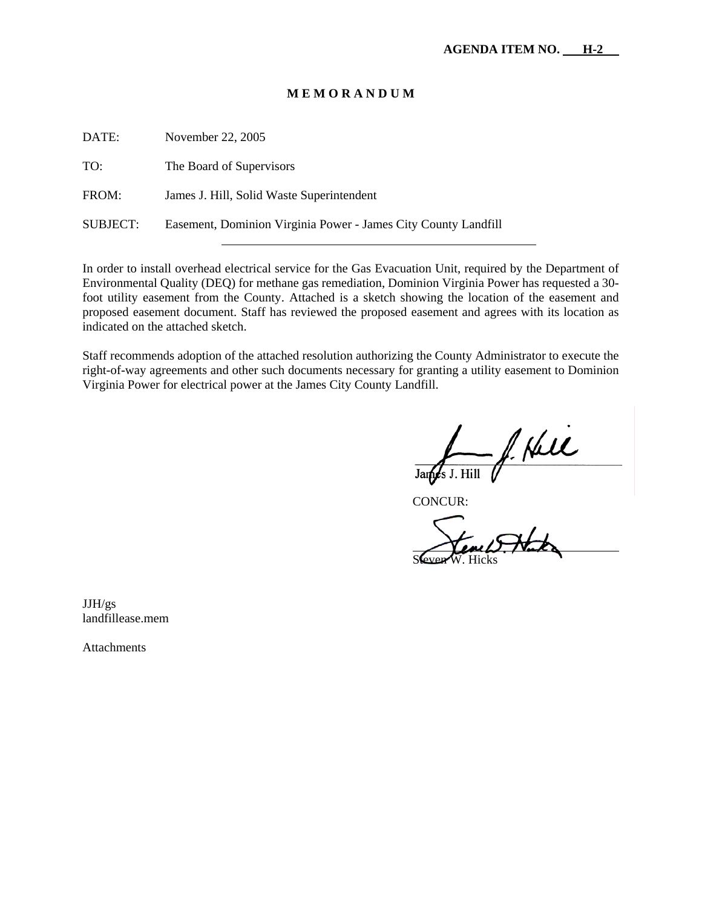| DATE:    | November 22, 2005                                              |
|----------|----------------------------------------------------------------|
| TO:      | The Board of Supervisors                                       |
| FROM:    | James J. Hill, Solid Waste Superintendent                      |
| SUBJECT: | Easement, Dominion Virginia Power - James City County Landfill |
|          |                                                                |

In order to install overhead electrical service for the Gas Evacuation Unit, required by the Department of Environmental Quality (DEQ) for methane gas remediation, Dominion Virginia Power has requested a 30 foot utility easement from the County. Attached is a sketch showing the location of the easement and proposed easement document. Staff has reviewed the proposed easement and agrees with its location as indicated on the attached sketch.

Staff recommends adoption of the attached resolution authorizing the County Administrator to execute the right-of-way agreements and other such documents necessary for granting a utility easement to Dominion Virginia Power for electrical power at the James City County Landfill.

f. Hell James J. Hill

CONCUR:

 $\overline{a}$ Steven W. Hicks

JJH/gs

landfillease.mem

Attachments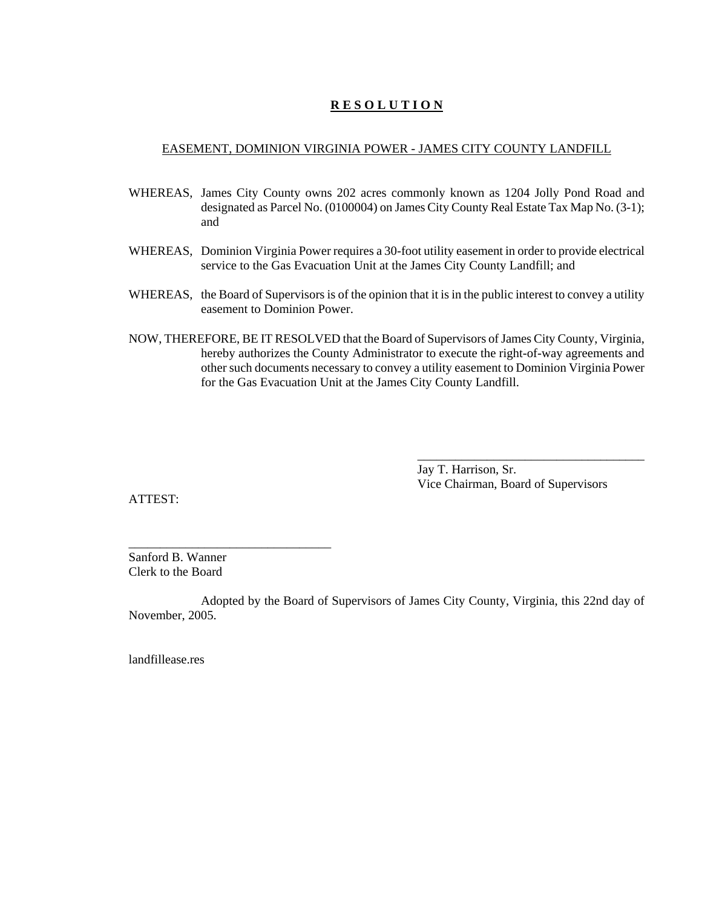# **R E S O L U T I O N**

#### EASEMENT, DOMINION VIRGINIA POWER - JAMES CITY COUNTY LANDFILL

- WHEREAS, James City County owns 202 acres commonly known as 1204 Jolly Pond Road and designated as Parcel No. (0100004) on James City County Real Estate Tax Map No. (3-1); and
- WHEREAS, Dominion Virginia Power requires a 30-foot utility easement in order to provide electrical service to the Gas Evacuation Unit at the James City County Landfill; and
- WHEREAS, the Board of Supervisors is of the opinion that it is in the public interest to convey a utility easement to Dominion Power.
- NOW, THEREFORE, BE IT RESOLVED that the Board of Supervisors of James City County, Virginia, hereby authorizes the County Administrator to execute the right-of-way agreements and other such documents necessary to convey a utility easement to Dominion Virginia Power for the Gas Evacuation Unit at the James City County Landfill.

Jay T. Harrison, Sr. Vice Chairman, Board of Supervisors

\_\_\_\_\_\_\_\_\_\_\_\_\_\_\_\_\_\_\_\_\_\_\_\_\_\_\_\_\_\_\_\_\_\_\_\_

ATTEST:

Sanford B. Wanner Clerk to the Board

\_\_\_\_\_\_\_\_\_\_\_\_\_\_\_\_\_\_\_\_\_\_\_\_\_\_\_\_\_\_\_\_

Adopted by the Board of Supervisors of James City County, Virginia, this 22nd day of November, 2005.

landfillease.res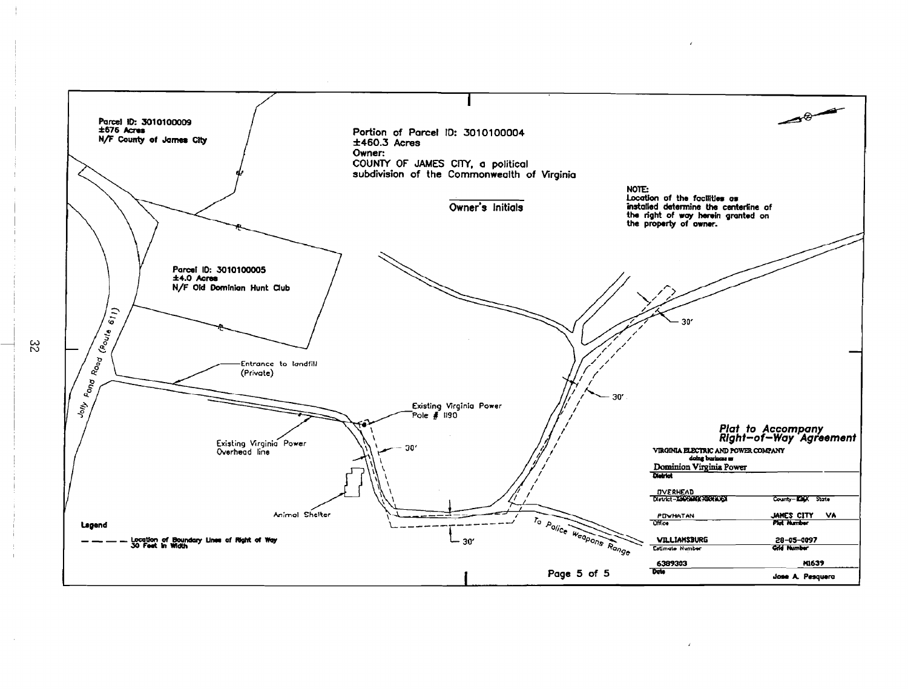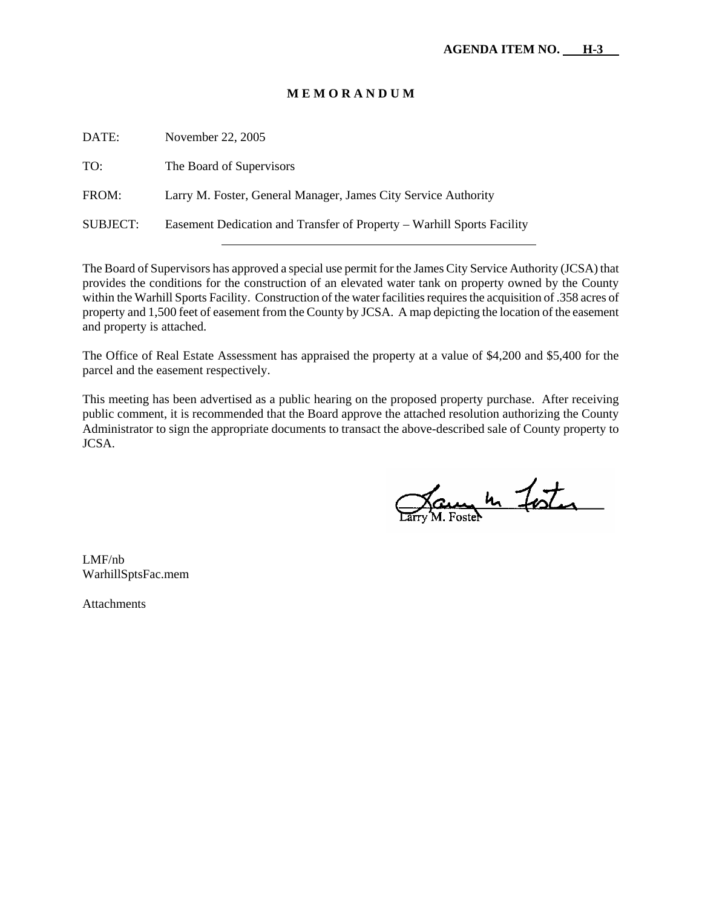| DATE:           | November 22, 2005                                                      |
|-----------------|------------------------------------------------------------------------|
| TO:             | The Board of Supervisors                                               |
| FROM:           | Larry M. Foster, General Manager, James City Service Authority         |
| <b>SUBJECT:</b> | Easement Dedication and Transfer of Property – Warhill Sports Facility |

The Board of Supervisors has approved a special use permit for the James City Service Authority (JCSA) that provides the conditions for the construction of an elevated water tank on property owned by the County within the Warhill Sports Facility. Construction of the water facilities requires the acquisition of .358 acres of property and 1,500 feet of easement from the County by JCSA. A map depicting the location of the easement and property is attached.

The Office of Real Estate Assessment has appraised the property at a value of \$4,200 and \$5,400 for the parcel and the easement respectively.

This meeting has been advertised as a public hearing on the proposed property purchase. After receiving public comment, it is recommended that the Board approve the attached resolution authorizing the County Administrator to sign the appropriate documents to transact the above-described sale of County property to JCSA.

Jaune 10 Foster

LMF/nb WarhillSptsFac.mem

**Attachments**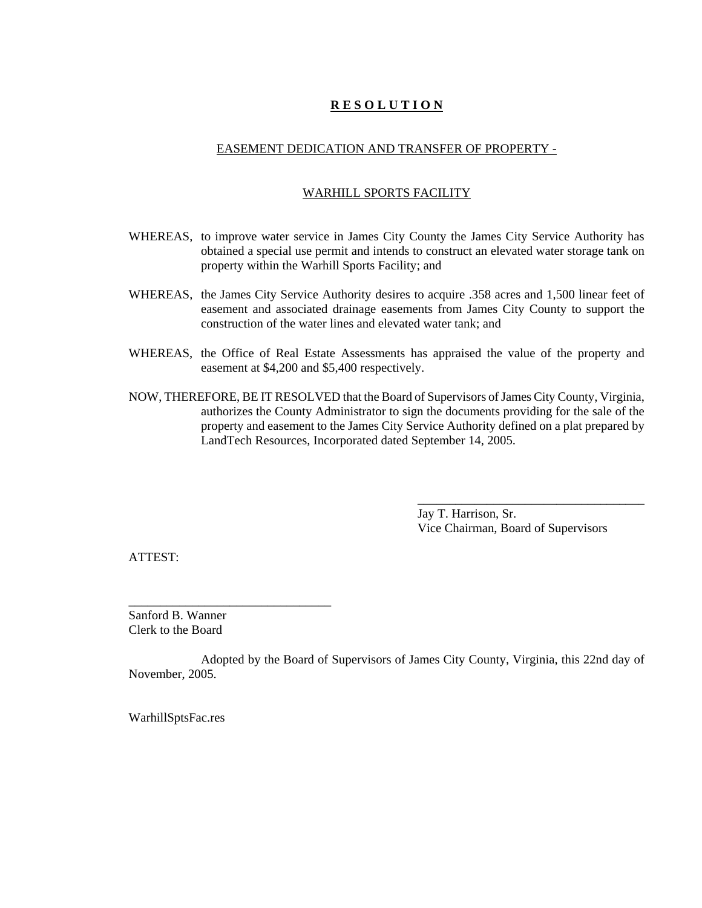# **R E S O L U T I O N**

# EASEMENT DEDICATION AND TRANSFER OF PROPERTY -

# WARHILL SPORTS FACILITY

- WHEREAS, to improve water service in James City County the James City Service Authority has obtained a special use permit and intends to construct an elevated water storage tank on property within the Warhill Sports Facility; and
- WHEREAS, the James City Service Authority desires to acquire .358 acres and 1,500 linear feet of easement and associated drainage easements from James City County to support the construction of the water lines and elevated water tank; and
- WHEREAS, the Office of Real Estate Assessments has appraised the value of the property and easement at \$4,200 and \$5,400 respectively.
- NOW, THEREFORE, BE IT RESOLVED that the Board of Supervisors of James City County, Virginia, authorizes the County Administrator to sign the documents providing for the sale of the property and easement to the James City Service Authority defined on a plat prepared by LandTech Resources, Incorporated dated September 14, 2005.

Jay T. Harrison, Sr. Vice Chairman, Board of Supervisors

\_\_\_\_\_\_\_\_\_\_\_\_\_\_\_\_\_\_\_\_\_\_\_\_\_\_\_\_\_\_\_\_\_\_\_\_

ATTEST:

Sanford B. Wanner Clerk to the Board

\_\_\_\_\_\_\_\_\_\_\_\_\_\_\_\_\_\_\_\_\_\_\_\_\_\_\_\_\_\_\_\_

Adopted by the Board of Supervisors of James City County, Virginia, this 22nd day of November, 2005.

WarhillSptsFac.res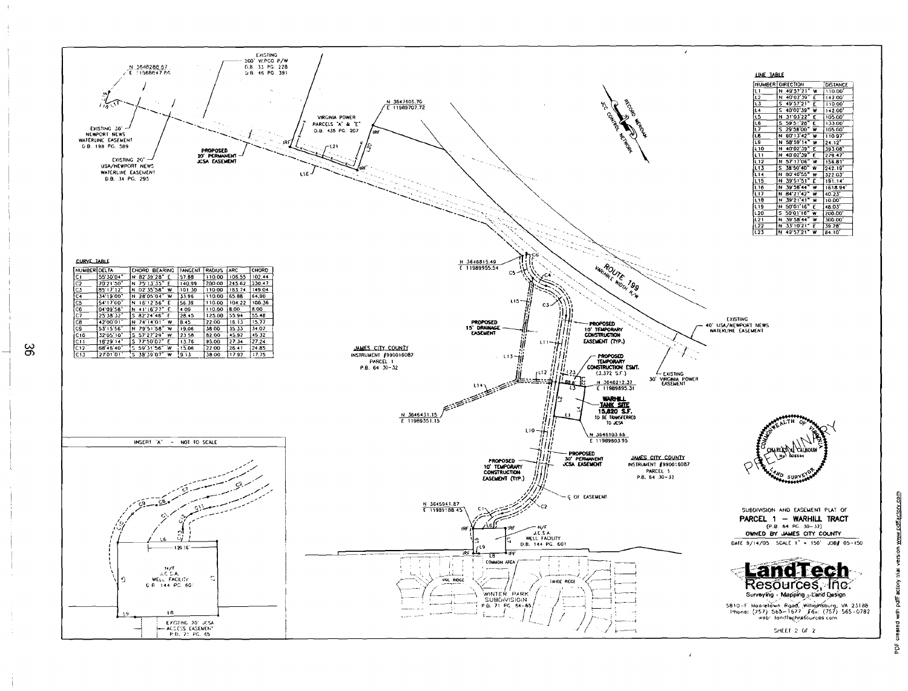

မ္ဘ

created with pdfF actory that version www.pdflactory.com

ă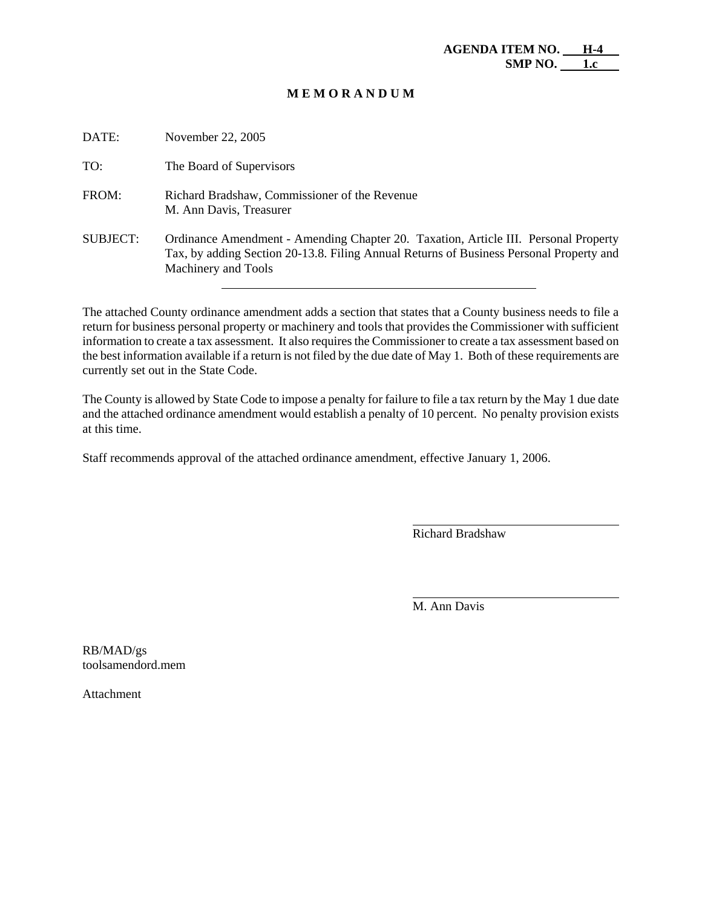| DATE:    | November 22, 2005                                                                                                                                                                                     |
|----------|-------------------------------------------------------------------------------------------------------------------------------------------------------------------------------------------------------|
| TO:      | The Board of Supervisors                                                                                                                                                                              |
| FROM:    | Richard Bradshaw, Commissioner of the Revenue<br>M. Ann Davis, Treasurer                                                                                                                              |
| SUBJECT: | Ordinance Amendment - Amending Chapter 20. Taxation, Article III. Personal Property<br>Tax, by adding Section 20-13.8. Filing Annual Returns of Business Personal Property and<br>Machinery and Tools |

The attached County ordinance amendment adds a section that states that a County business needs to file a return for business personal property or machinery and tools that provides the Commissioner with sufficient information to create a tax assessment. It also requires the Commissioner to create a tax assessment based on the best information available if a return is not filed by the due date of May 1. Both of these requirements are currently set out in the State Code.

The County is allowed by State Code to impose a penalty for failure to file a tax return by the May 1 due date and the attached ordinance amendment would establish a penalty of 10 percent. No penalty provision exists at this time.

Staff recommends approval of the attached ordinance amendment, effective January 1, 2006.

Richard Bradshaw

 $\overline{a}$ 

l

M. Ann Davis

RB/MAD/gs toolsamendord.mem

Attachment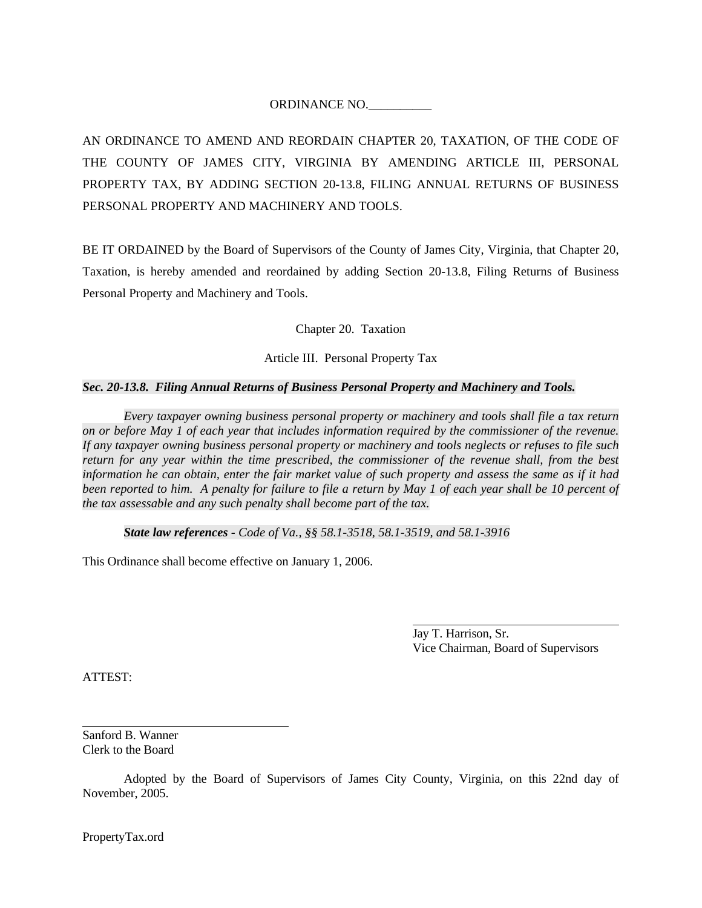# ORDINANCE NO.\_\_\_\_\_\_\_\_\_\_

AN ORDINANCE TO AMEND AND REORDAIN CHAPTER 20, TAXATION, OF THE CODE OF THE COUNTY OF JAMES CITY, VIRGINIA BY AMENDING ARTICLE III, PERSONAL PROPERTY TAX, BY ADDING SECTION 20-13.8, FILING ANNUAL RETURNS OF BUSINESS PERSONAL PROPERTY AND MACHINERY AND TOOLS.

BE IT ORDAINED by the Board of Supervisors of the County of James City, Virginia, that Chapter 20, Taxation, is hereby amended and reordained by adding Section 20-13.8, Filing Returns of Business Personal Property and Machinery and Tools.

Chapter 20. Taxation

Article III. Personal Property Tax

## *Sec. 20-13.8. Filing Annual Returns of Business Personal Property and Machinery and Tools.*

*Every taxpayer owning business personal property or machinery and tools shall file a tax return on or before May 1 of each year that includes information required by the commissioner of the revenue. If any taxpayer owning business personal property or machinery and tools neglects or refuses to file such return for any year within the time prescribed, the commissioner of the revenue shall, from the best information he can obtain, enter the fair market value of such property and assess the same as if it had been reported to him. A penalty for failure to file a return by May 1 of each year shall be 10 percent of the tax assessable and any such penalty shall become part of the tax.* 

*State law references - Code of Va., §§ 58.1-3518, 58.1-3519, and 58.1-3916* 

This Ordinance shall become effective on January 1, 2006.

 Jay T. Harrison, Sr. Vice Chairman, Board of Supervisors

ATTEST:

l

Sanford B. Wanner Clerk to the Board

 Adopted by the Board of Supervisors of James City County, Virginia, on this 22nd day of November, 2005.

PropertyTax.ord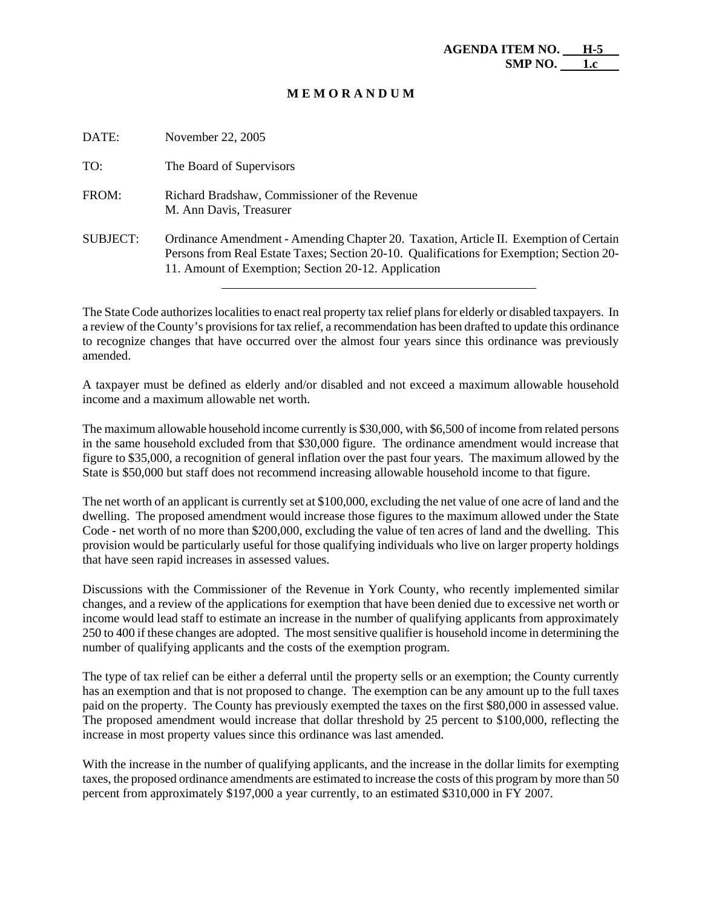| DATE:           | November 22, 2005                                                                                                                                                                                                                        |
|-----------------|------------------------------------------------------------------------------------------------------------------------------------------------------------------------------------------------------------------------------------------|
| TO:             | The Board of Supervisors                                                                                                                                                                                                                 |
| FROM:           | Richard Bradshaw, Commissioner of the Revenue<br>M. Ann Davis, Treasurer                                                                                                                                                                 |
| <b>SUBJECT:</b> | Ordinance Amendment - Amending Chapter 20. Taxation, Article II. Exemption of Certain<br>Persons from Real Estate Taxes; Section 20-10. Qualifications for Exemption; Section 20-<br>11. Amount of Exemption; Section 20-12. Application |

The State Code authorizes localities to enact real property tax relief plans for elderly or disabled taxpayers. In a review of the County's provisions for tax relief, a recommendation has been drafted to update this ordinance to recognize changes that have occurred over the almost four years since this ordinance was previously amended.

A taxpayer must be defined as elderly and/or disabled and not exceed a maximum allowable household income and a maximum allowable net worth.

The maximum allowable household income currently is \$30,000, with \$6,500 of income from related persons in the same household excluded from that \$30,000 figure. The ordinance amendment would increase that figure to \$35,000, a recognition of general inflation over the past four years. The maximum allowed by the State is \$50,000 but staff does not recommend increasing allowable household income to that figure.

The net worth of an applicant is currently set at \$100,000, excluding the net value of one acre of land and the dwelling. The proposed amendment would increase those figures to the maximum allowed under the State Code - net worth of no more than \$200,000, excluding the value of ten acres of land and the dwelling. This provision would be particularly useful for those qualifying individuals who live on larger property holdings that have seen rapid increases in assessed values.

Discussions with the Commissioner of the Revenue in York County, who recently implemented similar changes, and a review of the applications for exemption that have been denied due to excessive net worth or income would lead staff to estimate an increase in the number of qualifying applicants from approximately 250 to 400 if these changes are adopted. The most sensitive qualifier is household income in determining the number of qualifying applicants and the costs of the exemption program.

The type of tax relief can be either a deferral until the property sells or an exemption; the County currently has an exemption and that is not proposed to change. The exemption can be any amount up to the full taxes paid on the property. The County has previously exempted the taxes on the first \$80,000 in assessed value. The proposed amendment would increase that dollar threshold by 25 percent to \$100,000, reflecting the increase in most property values since this ordinance was last amended.

With the increase in the number of qualifying applicants, and the increase in the dollar limits for exempting taxes, the proposed ordinance amendments are estimated to increase the costs of this program by more than 50 percent from approximately \$197,000 a year currently, to an estimated \$310,000 in FY 2007.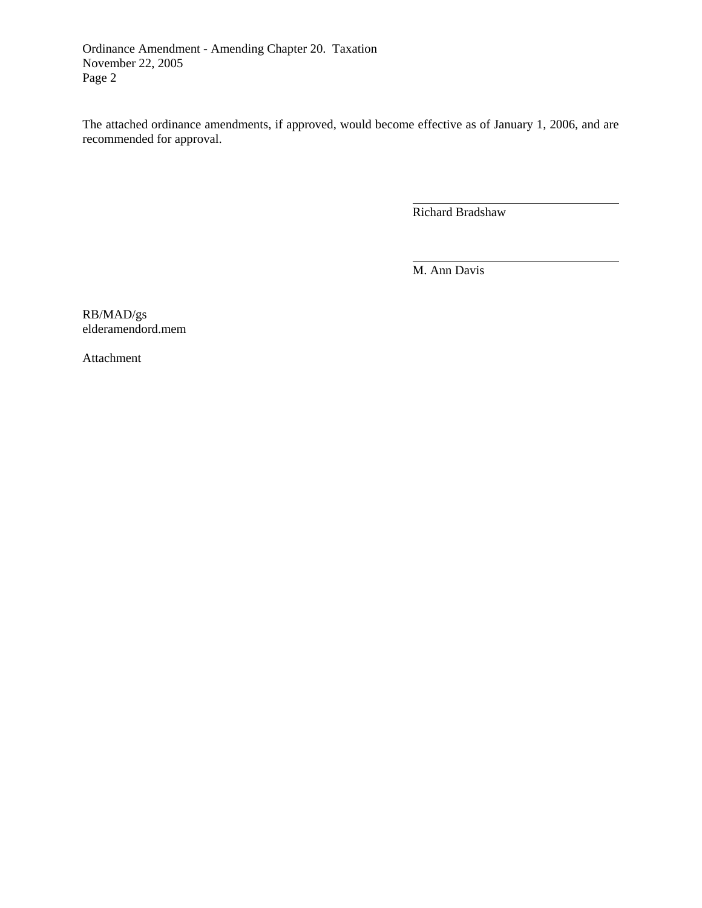Ordinance Amendment - Amending Chapter 20. Taxation November 22, 2005 Page 2

The attached ordinance amendments, if approved, would become effective as of January 1, 2006, and are recommended for approval.

Richard Bradshaw

 $\overline{a}$ 

l

M. Ann Davis

RB/MAD/gs elderamendord.mem

Attachment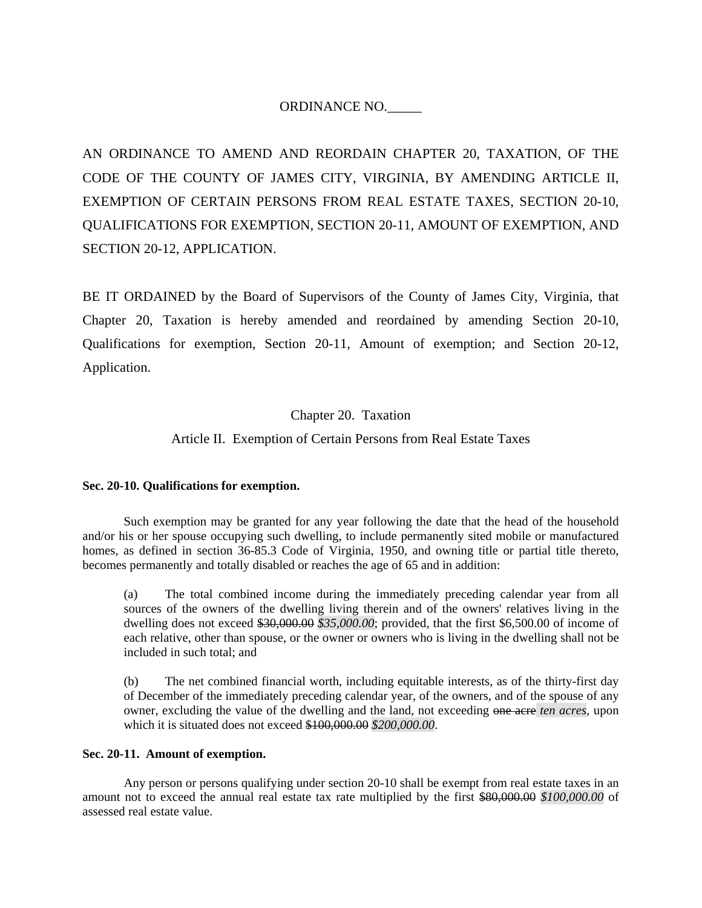# ORDINANCE NO.\_\_\_\_\_

AN ORDINANCE TO AMEND AND REORDAIN CHAPTER 20, TAXATION, OF THE CODE OF THE COUNTY OF JAMES CITY, VIRGINIA, BY AMENDING ARTICLE II, EXEMPTION OF CERTAIN PERSONS FROM REAL ESTATE TAXES, SECTION 20-10, QUALIFICATIONS FOR EXEMPTION, SECTION 20-11, AMOUNT OF EXEMPTION, AND SECTION 20-12, APPLICATION.

BE IT ORDAINED by the Board of Supervisors of the County of James City, Virginia, that Chapter 20, Taxation is hereby amended and reordained by amending Section 20-10, Qualifications for exemption, Section 20-11, Amount of exemption; and Section 20-12, Application.

## Chapter 20. Taxation

# Article II. Exemption of Certain Persons from Real Estate Taxes

## **Sec. 20-10. Qualifications for exemption.**

 Such exemption may be granted for any year following the date that the head of the household and/or his or her spouse occupying such dwelling, to include permanently sited mobile or manufactured homes, as defined in section 36-85.3 Code of Virginia, 1950, and owning title or partial title thereto, becomes permanently and totally disabled or reaches the age of 65 and in addition:

 (a) The total combined income during the immediately preceding calendar year from all sources of the owners of the dwelling living therein and of the owners' relatives living in the dwelling does not exceed \$30,000.00 *\$35,000.00*; provided, that the first \$6,500.00 of income of each relative, other than spouse, or the owner or owners who is living in the dwelling shall not be included in such total; and

 (b) The net combined financial worth, including equitable interests, as of the thirty-first day of December of the immediately preceding calendar year, of the owners, and of the spouse of any owner, excluding the value of the dwelling and the land, not exceeding one acree ten acres, upon which it is situated does not exceed \$100,000.00 *\$200,000.00*.

#### **Sec. 20-11. Amount of exemption.**

 Any person or persons qualifying under section 20-10 shall be exempt from real estate taxes in an amount not to exceed the annual real estate tax rate multiplied by the first \$80,000.00 *\$100,000.00* of assessed real estate value.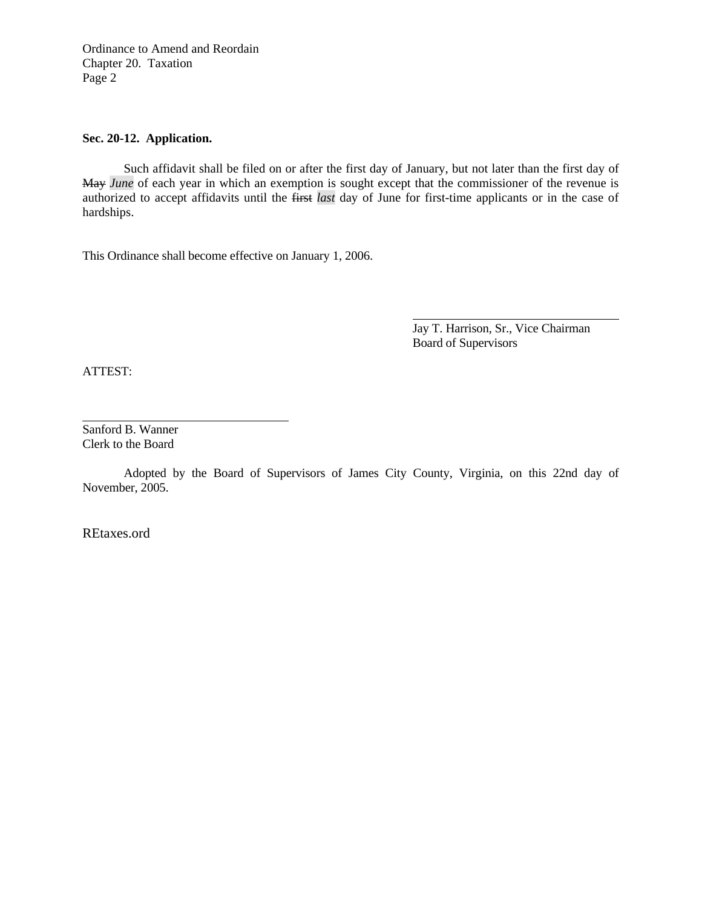Ordinance to Amend and Reordain Chapter 20. Taxation Page 2

## **Sec. 20-12. Application.**

 Such affidavit shall be filed on or after the first day of January, but not later than the first day of May *June* of each year in which an exemption is sought except that the commissioner of the revenue is authorized to accept affidavits until the first *last* day of June for first-time applicants or in the case of hardships.

This Ordinance shall become effective on January 1, 2006.

 Jay T. Harrison, Sr., Vice Chairman Board of Supervisors

ATTEST:

l

Sanford B. Wanner Clerk to the Board

 Adopted by the Board of Supervisors of James City County, Virginia, on this 22nd day of November, 2005.

REtaxes.ord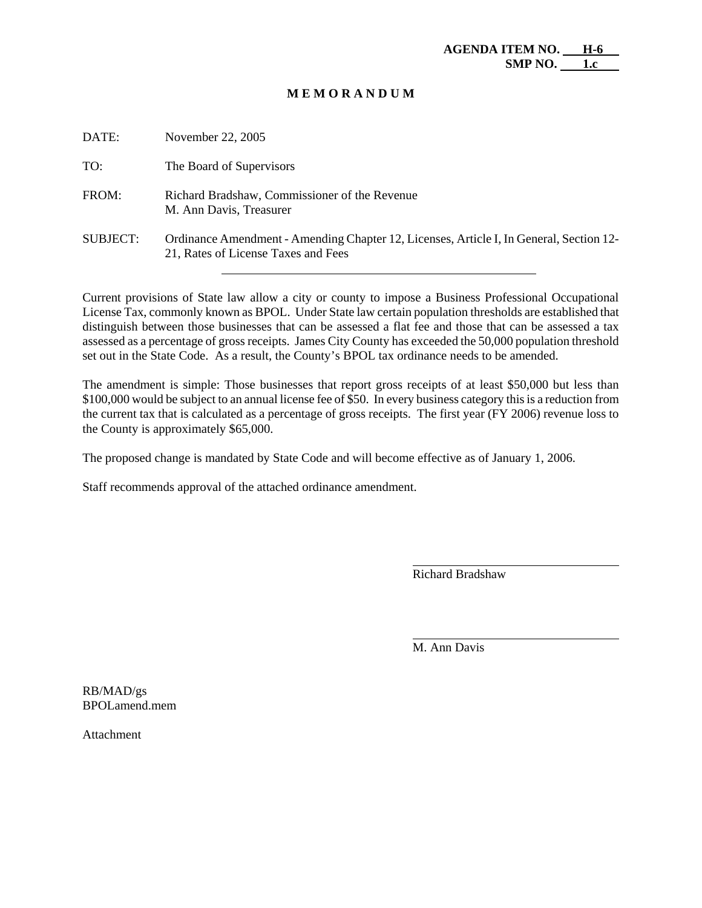| DATE:           | November 22, 2005                                                                                                              |
|-----------------|--------------------------------------------------------------------------------------------------------------------------------|
| TO:             | The Board of Supervisors                                                                                                       |
| FROM:           | Richard Bradshaw, Commissioner of the Revenue<br>M. Ann Davis, Treasurer                                                       |
| <b>SUBJECT:</b> | Ordinance Amendment - Amending Chapter 12, Licenses, Article I, In General, Section 12-<br>21, Rates of License Taxes and Fees |

Current provisions of State law allow a city or county to impose a Business Professional Occupational License Tax, commonly known as BPOL. Under State law certain population thresholds are established that distinguish between those businesses that can be assessed a flat fee and those that can be assessed a tax assessed as a percentage of gross receipts. James City County has exceeded the 50,000 population threshold set out in the State Code. As a result, the County's BPOL tax ordinance needs to be amended.

The amendment is simple: Those businesses that report gross receipts of at least \$50,000 but less than \$100,000 would be subject to an annual license fee of \$50. In every business category this is a reduction from the current tax that is calculated as a percentage of gross receipts. The first year (FY 2006) revenue loss to the County is approximately \$65,000.

The proposed change is mandated by State Code and will become effective as of January 1, 2006.

Staff recommends approval of the attached ordinance amendment.

Richard Bradshaw

 $\overline{a}$ 

l

M. Ann Davis

RB/MAD/gs BPOLamend.mem

Attachment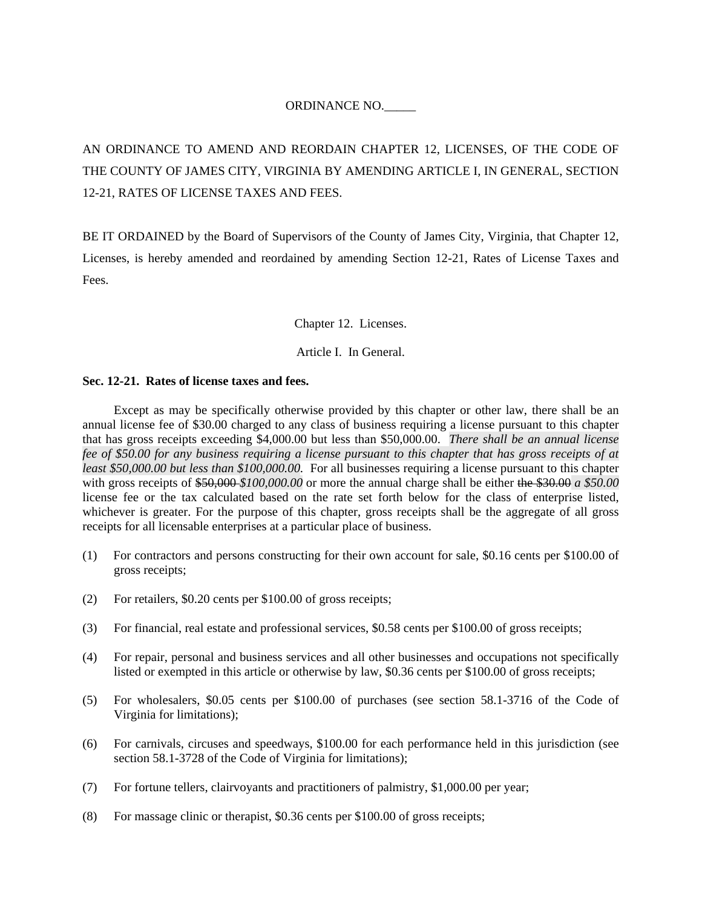# ORDINANCE NO.\_\_\_\_\_

AN ORDINANCE TO AMEND AND REORDAIN CHAPTER 12, LICENSES, OF THE CODE OF THE COUNTY OF JAMES CITY, VIRGINIA BY AMENDING ARTICLE I, IN GENERAL, SECTION 12-21, RATES OF LICENSE TAXES AND FEES.

BE IT ORDAINED by the Board of Supervisors of the County of James City, Virginia, that Chapter 12, Licenses, is hereby amended and reordained by amending Section 12-21, Rates of License Taxes and Fees.

Chapter 12. Licenses.

Article I. In General.

#### **Sec. 12-21. Rates of license taxes and fees.**

Except as may be specifically otherwise provided by this chapter or other law, there shall be an annual license fee of \$30.00 charged to any class of business requiring a license pursuant to this chapter that has gross receipts exceeding \$4,000.00 but less than \$50,000.00. *There shall be an annual license fee of \$50.00 for any business requiring a license pursuant to this chapter that has gross receipts of at least \$50,000.00 but less than \$100,000.00.* For all businesses requiring a license pursuant to this chapter with gross receipts of  $$50,000$$  *\$100,000.00* or more the annual charge shall be either the \$30.00 *a* \$50.00 license fee or the tax calculated based on the rate set forth below for the class of enterprise listed, whichever is greater. For the purpose of this chapter, gross receipts shall be the aggregate of all gross receipts for all licensable enterprises at a particular place of business.

- (1) For contractors and persons constructing for their own account for sale, \$0.16 cents per \$100.00 of gross receipts;
- (2) For retailers, \$0.20 cents per \$100.00 of gross receipts;
- (3) For financial, real estate and professional services, \$0.58 cents per \$100.00 of gross receipts;
- (4) For repair, personal and business services and all other businesses and occupations not specifically listed or exempted in this article or otherwise by law, \$0.36 cents per \$100.00 of gross receipts;
- (5) For wholesalers, \$0.05 cents per \$100.00 of purchases (see section 58.1-3716 of the Code of Virginia for limitations);
- (6) For carnivals, circuses and speedways, \$100.00 for each performance held in this jurisdiction (see section 58.1-3728 of the Code of Virginia for limitations);
- (7) For fortune tellers, clairvoyants and practitioners of palmistry, \$1,000.00 per year;
- (8) For massage clinic or therapist, \$0.36 cents per \$100.00 of gross receipts;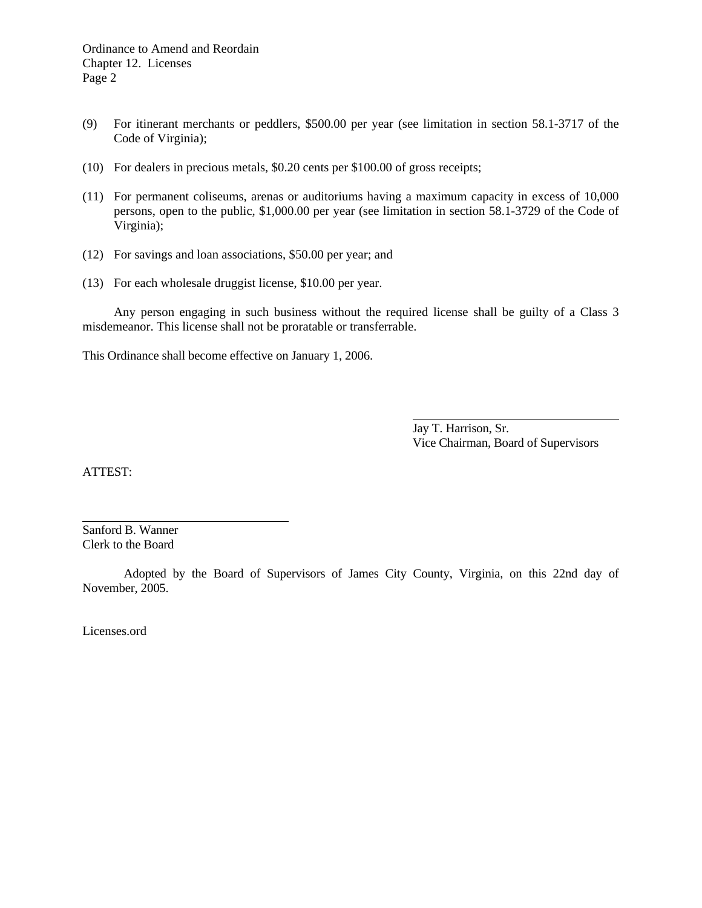- (9) For itinerant merchants or peddlers, \$500.00 per year (see limitation in section 58.1-3717 of the Code of Virginia);
- (10) For dealers in precious metals, \$0.20 cents per \$100.00 of gross receipts;
- (11) For permanent coliseums, arenas or auditoriums having a maximum capacity in excess of 10,000 persons, open to the public, \$1,000.00 per year (see limitation in section 58.1-3729 of the Code of Virginia);
- (12) For savings and loan associations, \$50.00 per year; and
- (13) For each wholesale druggist license, \$10.00 per year.

 Any person engaging in such business without the required license shall be guilty of a Class 3 misdemeanor. This license shall not be proratable or transferrable.

This Ordinance shall become effective on January 1, 2006.

 Jay T. Harrison, Sr. Vice Chairman, Board of Supervisors

ATTEST:

l

Sanford B. Wanner Clerk to the Board

 Adopted by the Board of Supervisors of James City County, Virginia, on this 22nd day of November, 2005.

Licenses.ord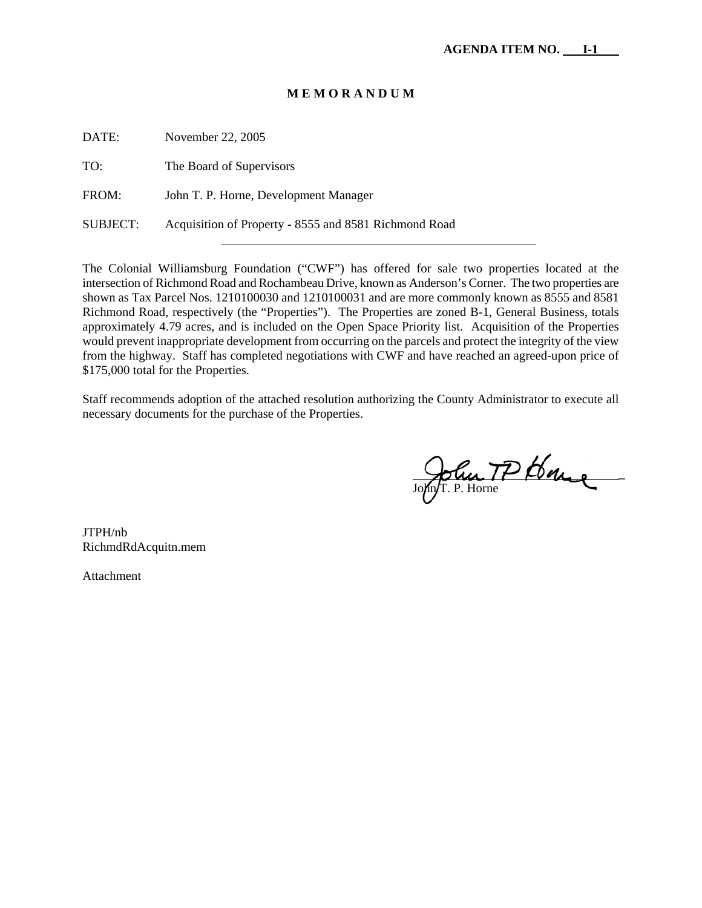| Acquisition of Property - 8555 and 8581 Richmond Road |
|-------------------------------------------------------|

The Colonial Williamsburg Foundation ("CWF") has offered for sale two properties located at the intersection of Richmond Road and Rochambeau Drive, known as Anderson's Corner. The two properties are shown as Tax Parcel Nos. 1210100030 and 1210100031 and are more commonly known as 8555 and 8581 Richmond Road, respectively (the "Properties"). The Properties are zoned B-1, General Business, totals approximately 4.79 acres, and is included on the Open Space Priority list. Acquisition of the Properties would prevent inappropriate development from occurring on the parcels and protect the integrity of the view from the highway. Staff has completed negotiations with CWF and have reached an agreed-upon price of \$175,000 total for the Properties.

Staff recommends adoption of the attached resolution authorizing the County Administrator to execute all necessary documents for the purchase of the Properties.

John IP Loge . John/T. P. Horne

JTPH/nb RichmdRdAcquitn.mem

Attachment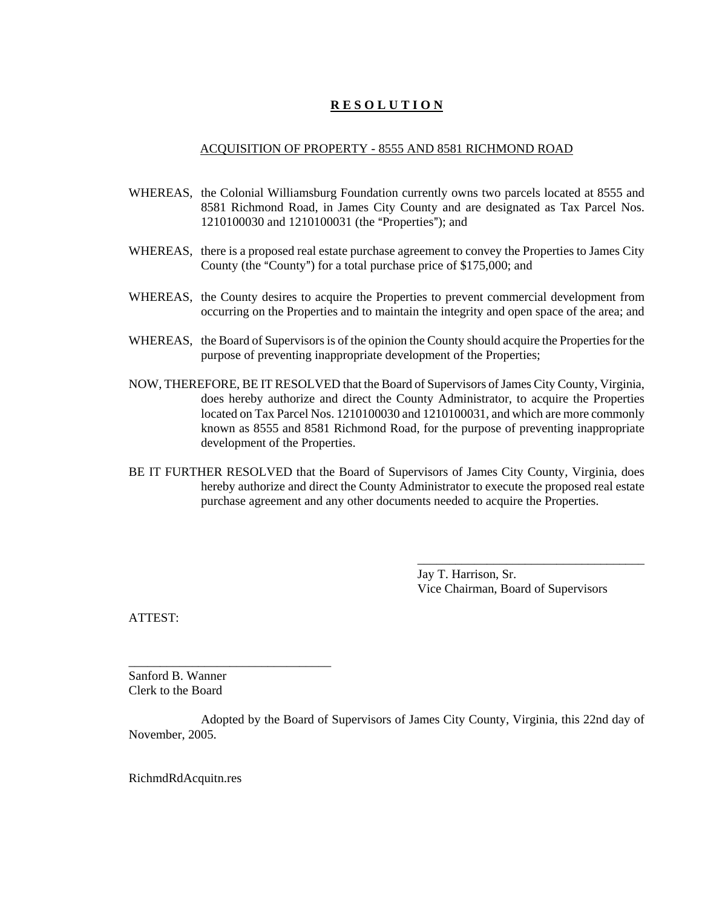# **R E S O L U T I O N**

## ACQUISITION OF PROPERTY - 8555 AND 8581 RICHMOND ROAD

- WHEREAS, the Colonial Williamsburg Foundation currently owns two parcels located at 8555 and 8581 Richmond Road, in James City County and are designated as Tax Parcel Nos.  $1210100030$  and  $1210100031$  (the "Properties"); and
- WHEREAS, there is a proposed real estate purchase agreement to convey the Properties to James City County (the "County") for a total purchase price of \$175,000; and
- WHEREAS, the County desires to acquire the Properties to prevent commercial development from occurring on the Properties and to maintain the integrity and open space of the area; and
- WHEREAS, the Board of Supervisors is of the opinion the County should acquire the Properties for the purpose of preventing inappropriate development of the Properties;
- NOW, THEREFORE, BE IT RESOLVED that the Board of Supervisors of James City County, Virginia, does hereby authorize and direct the County Administrator, to acquire the Properties located on Tax Parcel Nos. 1210100030 and 1210100031, and which are more commonly known as 8555 and 8581 Richmond Road, for the purpose of preventing inappropriate development of the Properties.
- BE IT FURTHER RESOLVED that the Board of Supervisors of James City County, Virginia, does hereby authorize and direct the County Administrator to execute the proposed real estate purchase agreement and any other documents needed to acquire the Properties.

Jay T. Harrison, Sr. Vice Chairman, Board of Supervisors

\_\_\_\_\_\_\_\_\_\_\_\_\_\_\_\_\_\_\_\_\_\_\_\_\_\_\_\_\_\_\_\_\_\_\_\_

ATTEST:

Sanford B. Wanner Clerk to the Board

\_\_\_\_\_\_\_\_\_\_\_\_\_\_\_\_\_\_\_\_\_\_\_\_\_\_\_\_\_\_\_\_

Adopted by the Board of Supervisors of James City County, Virginia, this 22nd day of November, 2005.

RichmdRdAcquitn.res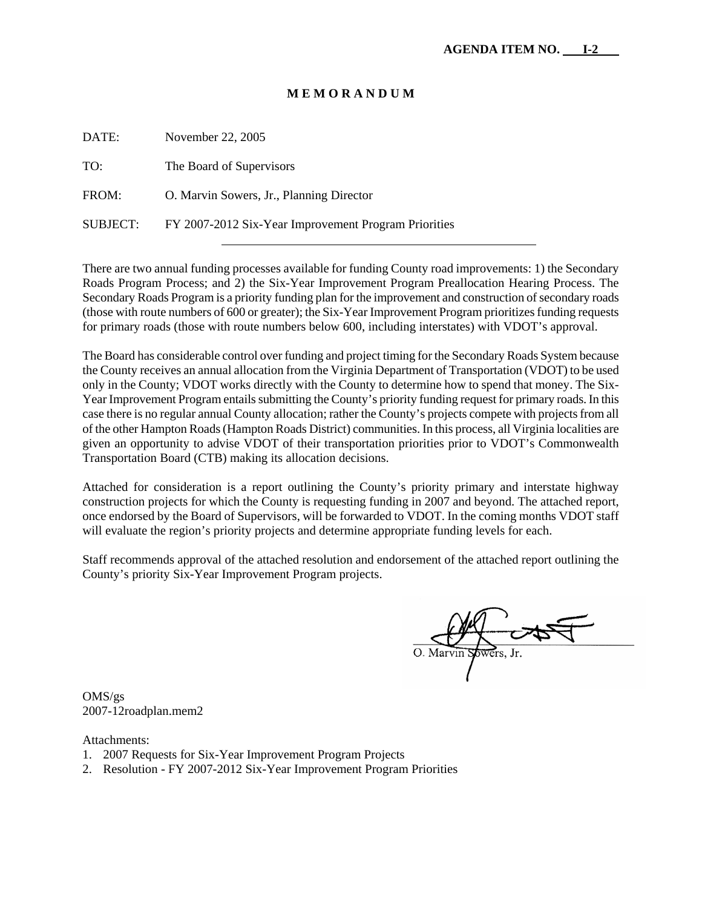| DATE:    | November 22, 2005                                    |
|----------|------------------------------------------------------|
| TO:      | The Board of Supervisors                             |
| FROM:    | O. Marvin Sowers, Jr., Planning Director             |
| SUBJECT: | FY 2007-2012 Six-Year Improvement Program Priorities |

There are two annual funding processes available for funding County road improvements: 1) the Secondary Roads Program Process; and 2) the Six-Year Improvement Program Preallocation Hearing Process. The Secondary Roads Program is a priority funding plan for the improvement and construction of secondary roads (those with route numbers of 600 or greater); the Six-Year Improvement Program prioritizes funding requests for primary roads (those with route numbers below 600, including interstates) with VDOT's approval.

The Board has considerable control over funding and project timing for the Secondary Roads System because the County receives an annual allocation from the Virginia Department of Transportation (VDOT) to be used only in the County; VDOT works directly with the County to determine how to spend that money. The Six-Year Improvement Program entails submitting the County's priority funding request for primary roads. In this case there is no regular annual County allocation; rather the County's projects compete with projects from all of the other Hampton Roads (Hampton Roads District) communities. In this process, all Virginia localities are given an opportunity to advise VDOT of their transportation priorities prior to VDOT's Commonwealth Transportation Board (CTB) making its allocation decisions.

Attached for consideration is a report outlining the County's priority primary and interstate highway construction projects for which the County is requesting funding in 2007 and beyond. The attached report, once endorsed by the Board of Supervisors, will be forwarded to VDOT. In the coming months VDOT staff will evaluate the region's priority projects and determine appropriate funding levels for each.

Staff recommends approval of the attached resolution and endorsement of the attached report outlining the County's priority Six-Year Improvement Program projects.

OMS/gs 2007-12roadplan.mem2

Attachments:

- 1. 2007 Requests for Six-Year Improvement Program Projects
- 2. Resolution FY 2007-2012 Six-Year Improvement Program Priorities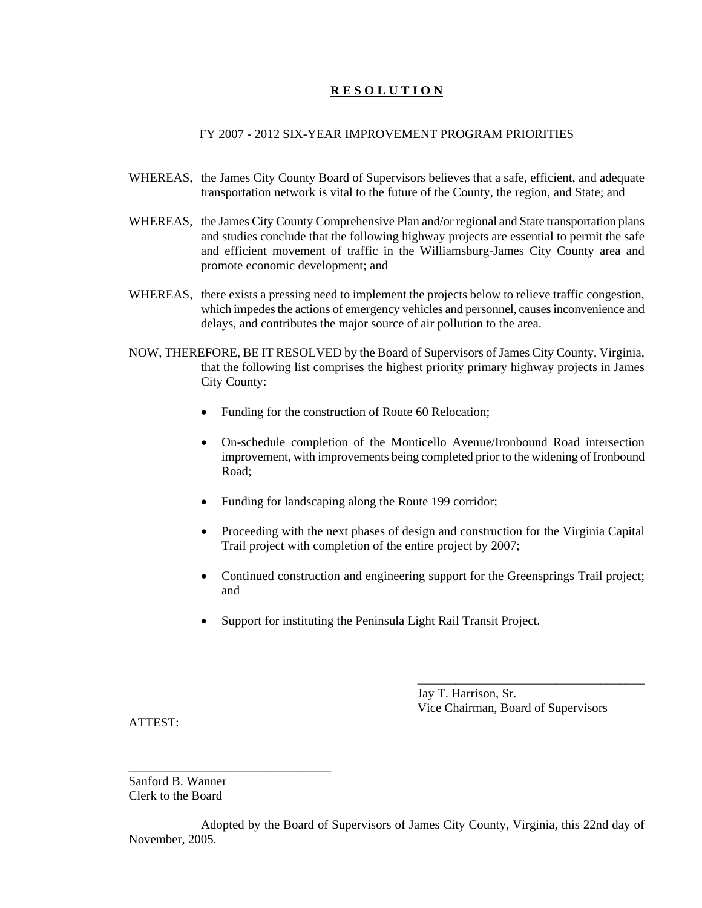# **R E S O L U T I O N**

## FY 2007 - 2012 SIX-YEAR IMPROVEMENT PROGRAM PRIORITIES

- WHEREAS, the James City County Board of Supervisors believes that a safe, efficient, and adequate transportation network is vital to the future of the County, the region, and State; and
- WHEREAS, the James City County Comprehensive Plan and/or regional and State transportation plans and studies conclude that the following highway projects are essential to permit the safe and efficient movement of traffic in the Williamsburg-James City County area and promote economic development; and
- WHEREAS, there exists a pressing need to implement the projects below to relieve traffic congestion, which impedes the actions of emergency vehicles and personnel, causes inconvenience and delays, and contributes the major source of air pollution to the area.
- NOW, THEREFORE, BE IT RESOLVED by the Board of Supervisors of James City County, Virginia, that the following list comprises the highest priority primary highway projects in James City County:
	- Funding for the construction of Route 60 Relocation;
	- On-schedule completion of the Monticello Avenue/Ironbound Road intersection improvement, with improvements being completed prior to the widening of Ironbound Road;
	- Funding for landscaping along the Route 199 corridor;
	- Proceeding with the next phases of design and construction for the Virginia Capital Trail project with completion of the entire project by 2007;
	- Continued construction and engineering support for the Greensprings Trail project; and
	- Support for instituting the Peninsula Light Rail Transit Project.

Jay T. Harrison, Sr. Vice Chairman, Board of Supervisors

\_\_\_\_\_\_\_\_\_\_\_\_\_\_\_\_\_\_\_\_\_\_\_\_\_\_\_\_\_\_\_\_\_\_\_\_

ATTEST:

Sanford B. Wanner Clerk to the Board

\_\_\_\_\_\_\_\_\_\_\_\_\_\_\_\_\_\_\_\_\_\_\_\_\_\_\_\_\_\_\_\_

Adopted by the Board of Supervisors of James City County, Virginia, this 22nd day of November, 2005.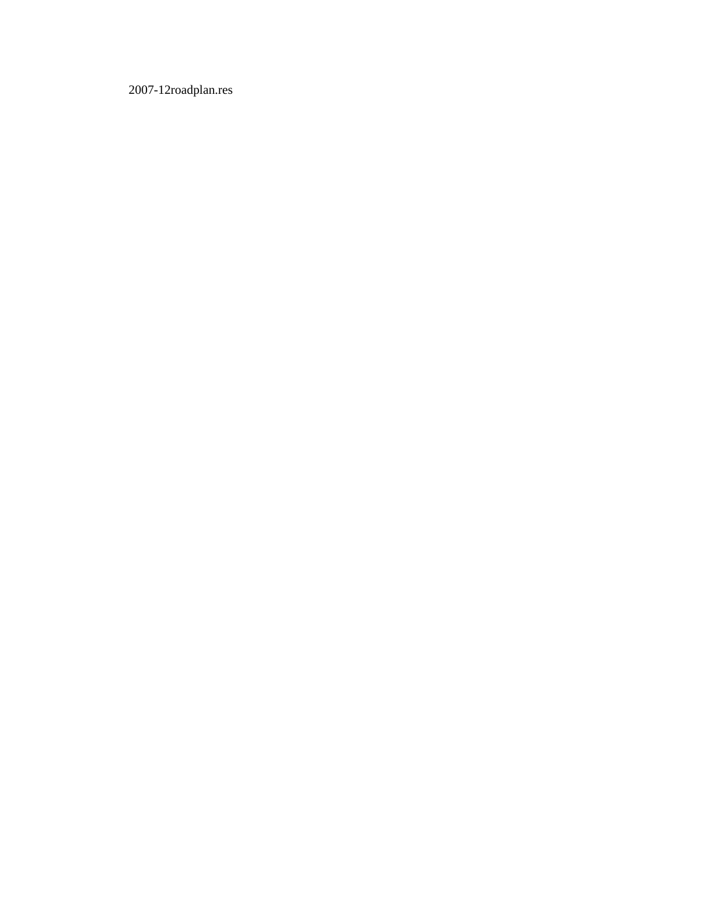2007-12roadplan.res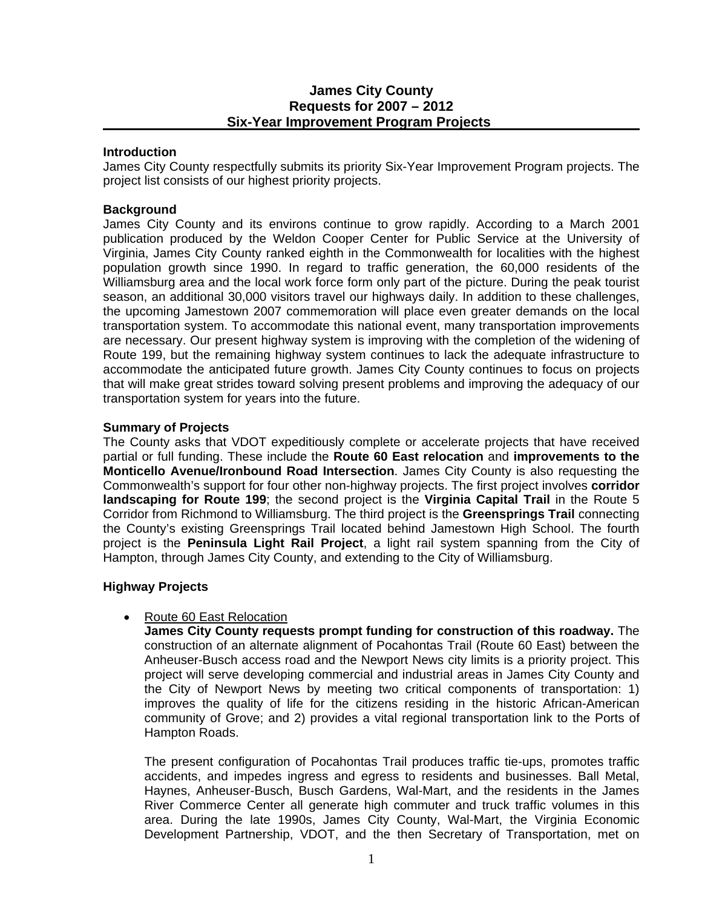# **James City County Requests for 2007 – 2012 Six-Year Improvement Program Projects**

#### **Introduction**

James City County respectfully submits its priority Six-Year Improvement Program projects. The project list consists of our highest priority projects.

## **Background**

James City County and its environs continue to grow rapidly. According to a March 2001 publication produced by the Weldon Cooper Center for Public Service at the University of Virginia, James City County ranked eighth in the Commonwealth for localities with the highest population growth since 1990. In regard to traffic generation, the 60,000 residents of the Williamsburg area and the local work force form only part of the picture. During the peak tourist season, an additional 30,000 visitors travel our highways daily. In addition to these challenges, the upcoming Jamestown 2007 commemoration will place even greater demands on the local transportation system. To accommodate this national event, many transportation improvements are necessary. Our present highway system is improving with the completion of the widening of Route 199, but the remaining highway system continues to lack the adequate infrastructure to accommodate the anticipated future growth. James City County continues to focus on projects that will make great strides toward solving present problems and improving the adequacy of our transportation system for years into the future.

## **Summary of Projects**

The County asks that VDOT expeditiously complete or accelerate projects that have received partial or full funding. These include the **Route 60 East relocation** and **improvements to the Monticello Avenue/Ironbound Road Intersection**. James City County is also requesting the Commonwealth's support for four other non-highway projects. The first project involves **corridor landscaping for Route 199**; the second project is the **Virginia Capital Trail** in the Route 5 Corridor from Richmond to Williamsburg. The third project is the **Greensprings Trail** connecting the County's existing Greensprings Trail located behind Jamestown High School. The fourth project is the **Peninsula Light Rail Project**, a light rail system spanning from the City of Hampton, through James City County, and extending to the City of Williamsburg.

## **Highway Projects**

## • Route 60 East Relocation

**James City County requests prompt funding for construction of this roadway.** The construction of an alternate alignment of Pocahontas Trail (Route 60 East) between the Anheuser-Busch access road and the Newport News city limits is a priority project. This project will serve developing commercial and industrial areas in James City County and the City of Newport News by meeting two critical components of transportation: 1) improves the quality of life for the citizens residing in the historic African-American community of Grove; and 2) provides a vital regional transportation link to the Ports of Hampton Roads.

 The present configuration of Pocahontas Trail produces traffic tie-ups, promotes traffic accidents, and impedes ingress and egress to residents and businesses. Ball Metal, Haynes, Anheuser-Busch, Busch Gardens, Wal-Mart, and the residents in the James River Commerce Center all generate high commuter and truck traffic volumes in this area. During the late 1990s, James City County, Wal-Mart, the Virginia Economic Development Partnership, VDOT, and the then Secretary of Transportation, met on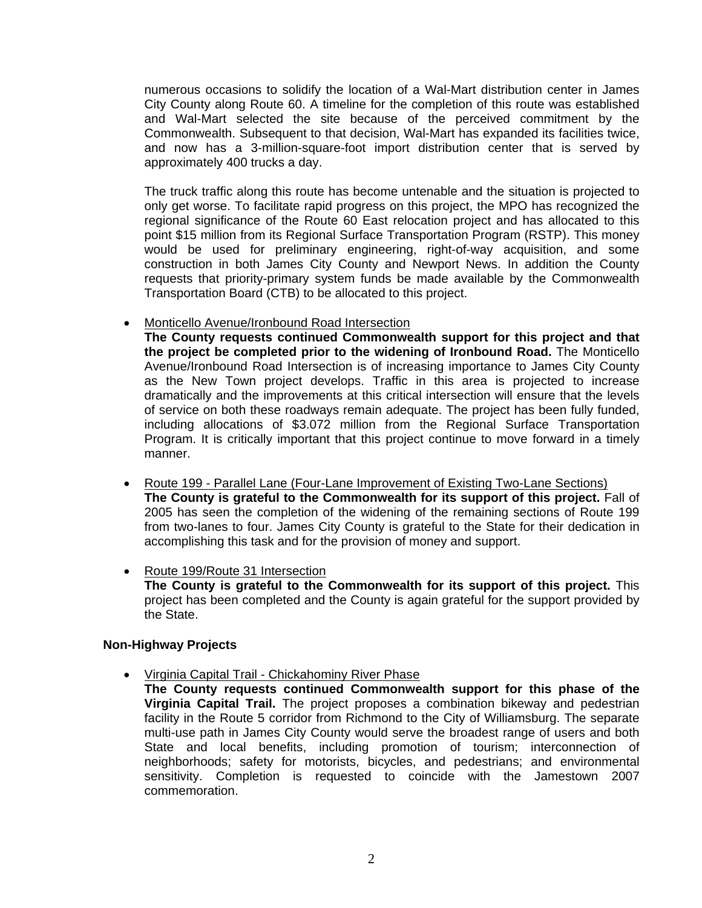numerous occasions to solidify the location of a Wal-Mart distribution center in James City County along Route 60. A timeline for the completion of this route was established and Wal-Mart selected the site because of the perceived commitment by the Commonwealth. Subsequent to that decision, Wal-Mart has expanded its facilities twice, and now has a 3-million-square-foot import distribution center that is served by approximately 400 trucks a day.

 The truck traffic along this route has become untenable and the situation is projected to only get worse. To facilitate rapid progress on this project, the MPO has recognized the regional significance of the Route 60 East relocation project and has allocated to this point \$15 million from its Regional Surface Transportation Program (RSTP). This money would be used for preliminary engineering, right-of-way acquisition, and some construction in both James City County and Newport News. In addition the County requests that priority-primary system funds be made available by the Commonwealth Transportation Board (CTB) to be allocated to this project.

• Monticello Avenue/Ironbound Road Intersection

**The County requests continued Commonwealth support for this project and that the project be completed prior to the widening of Ironbound Road.** The Monticello Avenue/Ironbound Road Intersection is of increasing importance to James City County as the New Town project develops. Traffic in this area is projected to increase dramatically and the improvements at this critical intersection will ensure that the levels of service on both these roadways remain adequate. The project has been fully funded, including allocations of \$3.072 million from the Regional Surface Transportation Program. It is critically important that this project continue to move forward in a timely manner.

- Route 199 Parallel Lane (Four-Lane Improvement of Existing Two-Lane Sections) **The County is grateful to the Commonwealth for its support of this project.** Fall of 2005 has seen the completion of the widening of the remaining sections of Route 199 from two-lanes to four. James City County is grateful to the State for their dedication in accomplishing this task and for the provision of money and support.
- Route 199/Route 31 Intersection **The County is grateful to the Commonwealth for its support of this project.** This project has been completed and the County is again grateful for the support provided by the State.

# **Non-Highway Projects**

- Virginia Capital Trail Chickahominy River Phase
	- **The County requests continued Commonwealth support for this phase of the Virginia Capital Trail.** The project proposes a combination bikeway and pedestrian facility in the Route 5 corridor from Richmond to the City of Williamsburg. The separate multi-use path in James City County would serve the broadest range of users and both State and local benefits, including promotion of tourism; interconnection of neighborhoods; safety for motorists, bicycles, and pedestrians; and environmental sensitivity. Completion is requested to coincide with the Jamestown 2007 commemoration.